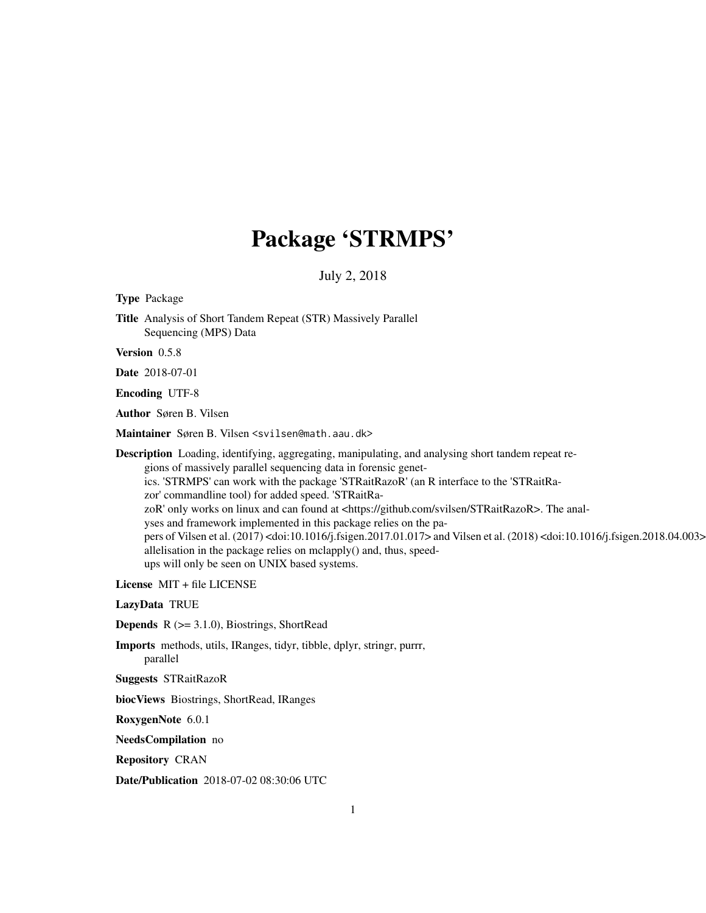# Package 'STRMPS'

# July 2, 2018

<span id="page-0-0"></span>Type Package

Title Analysis of Short Tandem Repeat (STR) Massively Parallel Sequencing (MPS) Data

Version 0.5.8

Date 2018-07-01

Encoding UTF-8

Author Søren B. Vilsen

Maintainer Søren B. Vilsen <svilsen@math.aau.dk>

Description Loading, identifying, aggregating, manipulating, and analysing short tandem repeat regions of massively parallel sequencing data in forensic genetics. 'STRMPS' can work with the package 'STRaitRazoR' (an R interface to the 'STRaitRazor' commandline tool) for added speed. 'STRaitRazoR' only works on linux and can found at <https://github.com/svilsen/STRaitRazoR>. The analyses and framework implemented in this package relies on the papers of Vilsen et al. (2017) <doi:10.1016/j.fsigen.2017.01.017> and Vilsen et al. (2018) <doi:10.1016/j.fsigen.2018.04.003> allelisation in the package relies on mclapply() and, thus, speedups will only be seen on UNIX based systems.

License MIT + file LICENSE

LazyData TRUE

**Depends**  $R$  ( $>= 3.1.0$ ), Biostrings, ShortRead

Imports methods, utils, IRanges, tidyr, tibble, dplyr, stringr, purrr, parallel

Suggests STRaitRazoR

biocViews Biostrings, ShortRead, IRanges

RoxygenNote 6.0.1

NeedsCompilation no

Repository CRAN

Date/Publication 2018-07-02 08:30:06 UTC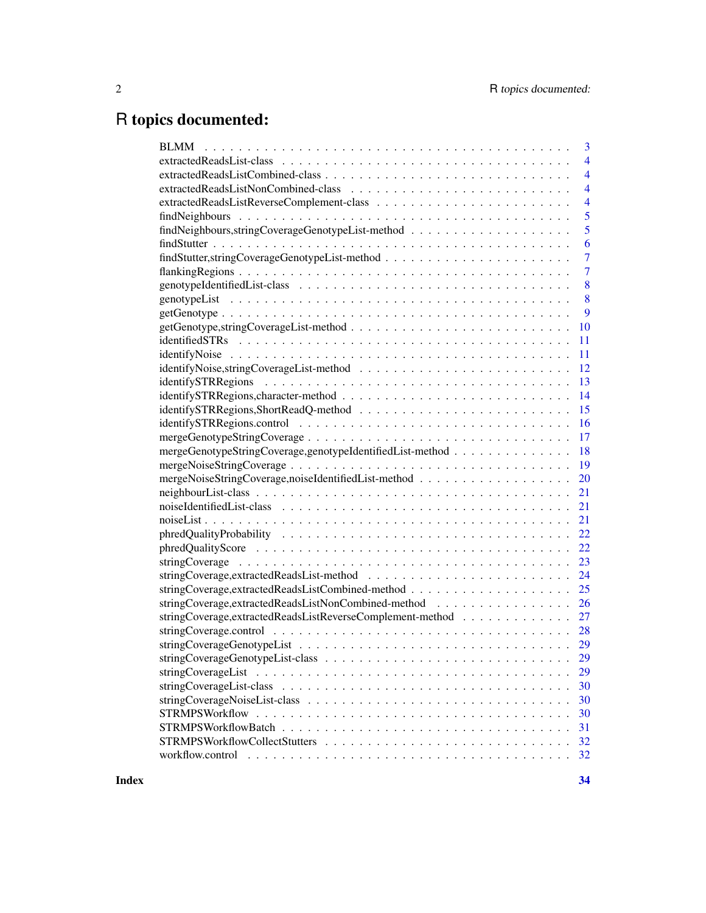# R topics documented:

|                                                              | 3              |
|--------------------------------------------------------------|----------------|
|                                                              | $\overline{4}$ |
|                                                              | $\overline{4}$ |
|                                                              | $\overline{4}$ |
|                                                              | $\overline{4}$ |
|                                                              | 5              |
|                                                              | 5              |
|                                                              | 6              |
|                                                              | $\overline{7}$ |
|                                                              | $\overline{7}$ |
|                                                              | 8              |
|                                                              | 8              |
|                                                              | 9              |
|                                                              | <b>10</b>      |
|                                                              | <sup>11</sup>  |
|                                                              |                |
|                                                              |                |
|                                                              |                |
|                                                              |                |
|                                                              |                |
|                                                              |                |
|                                                              |                |
| mergeGenotypeStringCoverage,genotypeIdentifiedList-method 18 |                |
|                                                              |                |
| mergeNoiseStringCoverage,noiseIdentifiedList-method 20       |                |
|                                                              |                |
|                                                              |                |
|                                                              |                |
|                                                              |                |
|                                                              |                |
|                                                              |                |
|                                                              |                |
|                                                              |                |
| stringCoverage, extractedReadsListNonCombined-method 26      |                |
| stringCoverage,extractedReadsListReverseComplement-method 27 |                |
|                                                              |                |
|                                                              |                |
|                                                              | 29             |
|                                                              | 29             |
|                                                              | 30             |
|                                                              | 30             |
|                                                              | 30             |
|                                                              | 31             |
|                                                              | 32             |
|                                                              | 32             |
|                                                              |                |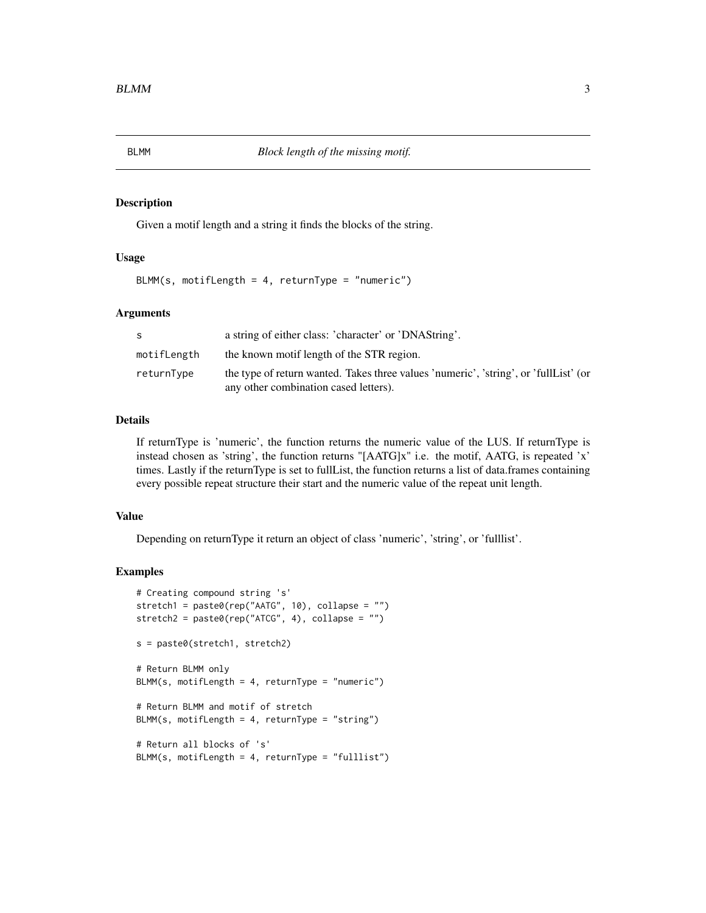# <span id="page-2-0"></span>Description

Given a motif length and a string it finds the blocks of the string.

## Usage

 $BLMM(s, motifLength = 4, returnType = "numeric")$ 

## Arguments

| -S          | a string of either class: 'character' or 'DNAString'.                                                                         |
|-------------|-------------------------------------------------------------------------------------------------------------------------------|
| motifLength | the known motif length of the STR region.                                                                                     |
| returnType  | the type of return wanted. Takes three values 'numeric', 'string', or 'fullList' (or<br>any other combination cased letters). |

## Details

If returnType is 'numeric', the function returns the numeric value of the LUS. If returnType is instead chosen as 'string', the function returns "[AATG]x" i.e. the motif, AATG, is repeated 'x' times. Lastly if the returnType is set to fullList, the function returns a list of data.frames containing every possible repeat structure their start and the numeric value of the repeat unit length.

#### Value

Depending on returnType it return an object of class 'numeric', 'string', or 'fulllist'.

```
# Creating compound string 's'
stretch1 = paste0(rep("AATG", 10), collapse = "")
stretch2 = paste@(rep("ATCG", 4), collapse = "")s = paste0(stretch1, stretch2)
# Return BLMM only
BLMM(s, motifLength = 4, returnType = "numeric")# Return BLMM and motif of stretch
BLMM(s, motifLength = 4, returnType = "string")
# Return all blocks of 's'
BLMM(s, motifLength = 4, returnType = "fulllist")
```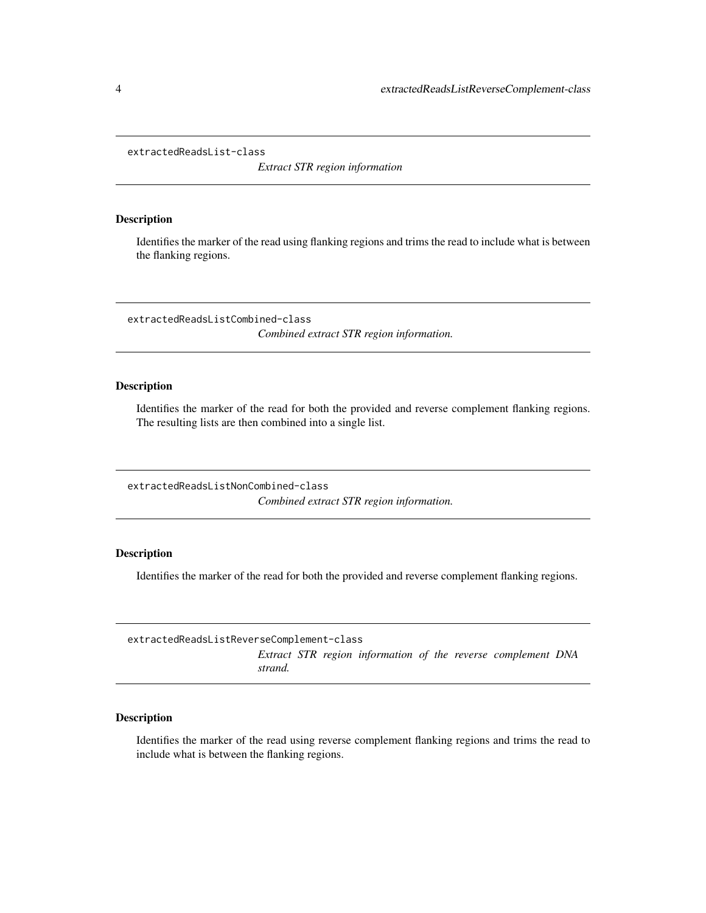<span id="page-3-0"></span>extractedReadsList-class

*Extract STR region information*

#### Description

Identifies the marker of the read using flanking regions and trims the read to include what is between the flanking regions.

extractedReadsListCombined-class *Combined extract STR region information.*

# Description

Identifies the marker of the read for both the provided and reverse complement flanking regions. The resulting lists are then combined into a single list.

extractedReadsListNonCombined-class *Combined extract STR region information.*

# Description

Identifies the marker of the read for both the provided and reverse complement flanking regions.

extractedReadsListReverseComplement-class *Extract STR region information of the reverse complement DNA strand.*

# Description

Identifies the marker of the read using reverse complement flanking regions and trims the read to include what is between the flanking regions.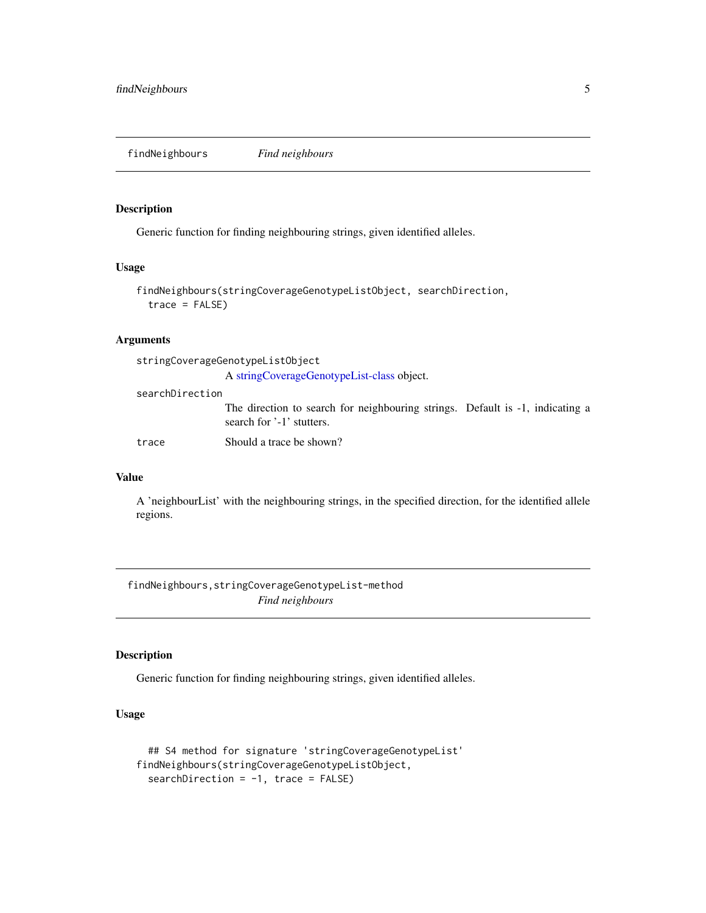<span id="page-4-0"></span>findNeighbours *Find neighbours*

# Description

Generic function for finding neighbouring strings, given identified alleles.

#### Usage

```
findNeighbours(stringCoverageGenotypeListObject, searchDirection,
  trace = FALSE)
```
## Arguments

stringCoverageGenotypeListObject

A [stringCoverageGenotypeList-class](#page-28-1) object.

searchDirection

The direction to search for neighbouring strings. Default is -1, indicating a search for '-1' stutters.

trace Should a trace be shown?

#### Value

A 'neighbourList' with the neighbouring strings, in the specified direction, for the identified allele regions.

findNeighbours,stringCoverageGenotypeList-method *Find neighbours*

# Description

Generic function for finding neighbouring strings, given identified alleles.

# Usage

```
## S4 method for signature 'stringCoverageGenotypeList'
findNeighbours(stringCoverageGenotypeListObject,
  searchDirection = -1, trace = FALSE)
```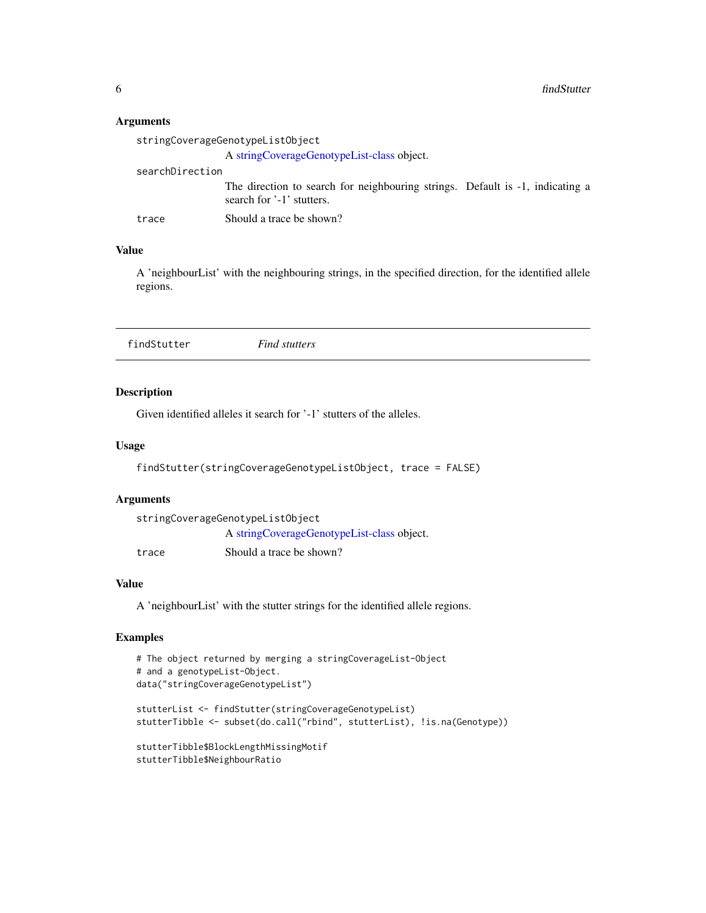# <span id="page-5-0"></span>Arguments

|                 | stringCoverageGenotypeListObject                                                                           |  |
|-----------------|------------------------------------------------------------------------------------------------------------|--|
|                 | A stringCoverageGenotypeList-class object.                                                                 |  |
| searchDirection |                                                                                                            |  |
|                 | The direction to search for neighbouring strings. Default is -1, indicating a<br>search for '-1' stutters. |  |
| trace           | Should a trace be shown?                                                                                   |  |

# Value

A 'neighbourList' with the neighbouring strings, in the specified direction, for the identified allele regions.

| findStutter | <b>Find stutters</b> |  |
|-------------|----------------------|--|
|             |                      |  |

# Description

Given identified alleles it search for '-1' stutters of the alleles.

# Usage

```
findStutter(stringCoverageGenotypeListObject, trace = FALSE)
```
# Arguments

| stringCoverageGenotypeListObject |                                            |  |
|----------------------------------|--------------------------------------------|--|
|                                  | A stringCoverageGenotypeList-class object. |  |
| trace                            | Should a trace be shown?                   |  |

# Value

A 'neighbourList' with the stutter strings for the identified allele regions.

```
# The object returned by merging a stringCoverageList-Object
# and a genotypeList-Object.
data("stringCoverageGenotypeList")
stutterList <- findStutter(stringCoverageGenotypeList)
stutterTibble <- subset(do.call("rbind", stutterList), !is.na(Genotype))
stutterTibble$BlockLengthMissingMotif
stutterTibble$NeighbourRatio
```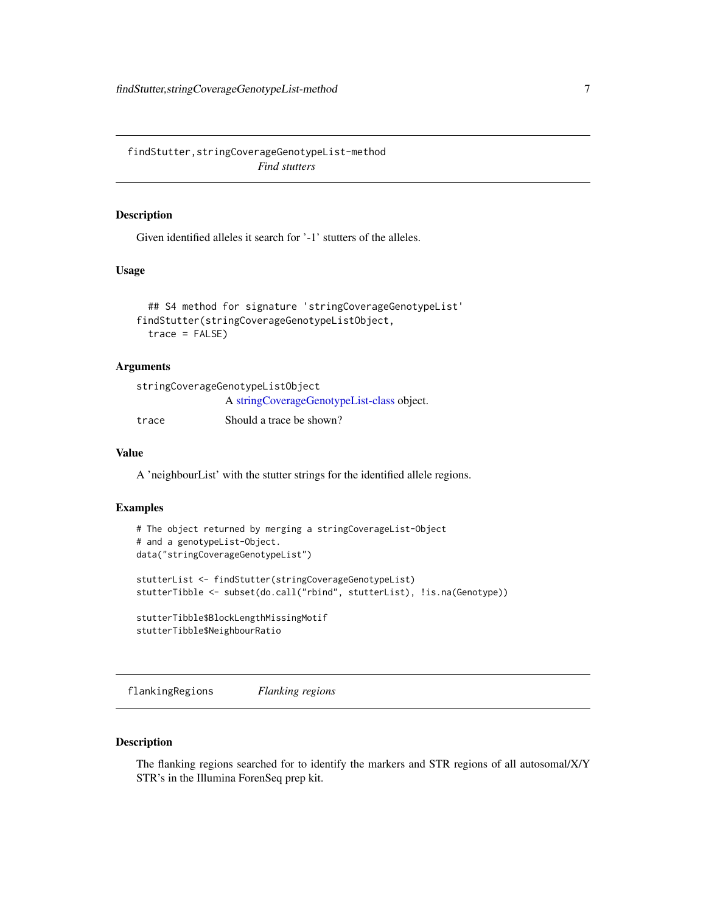<span id="page-6-0"></span>findStutter,stringCoverageGenotypeList-method *Find stutters*

# Description

Given identified alleles it search for '-1' stutters of the alleles.

# Usage

```
## S4 method for signature 'stringCoverageGenotypeList'
findStutter(stringCoverageGenotypeListObject,
  trace = FALSE)
```
# Arguments

| stringCoverageGenotypeListObject |                                            |  |
|----------------------------------|--------------------------------------------|--|
|                                  | A stringCoverageGenotypeList-class object. |  |
| trace                            | Should a trace be shown?                   |  |

#### Value

A 'neighbourList' with the stutter strings for the identified allele regions.

#### Examples

```
# The object returned by merging a stringCoverageList-Object
# and a genotypeList-Object.
data("stringCoverageGenotypeList")
stutterList <- findStutter(stringCoverageGenotypeList)
stutterTibble <- subset(do.call("rbind", stutterList), !is.na(Genotype))
stutterTibble$BlockLengthMissingMotif
stutterTibble$NeighbourRatio
```
flankingRegions *Flanking regions*

# Description

The flanking regions searched for to identify the markers and STR regions of all autosomal/X/Y STR's in the Illumina ForenSeq prep kit.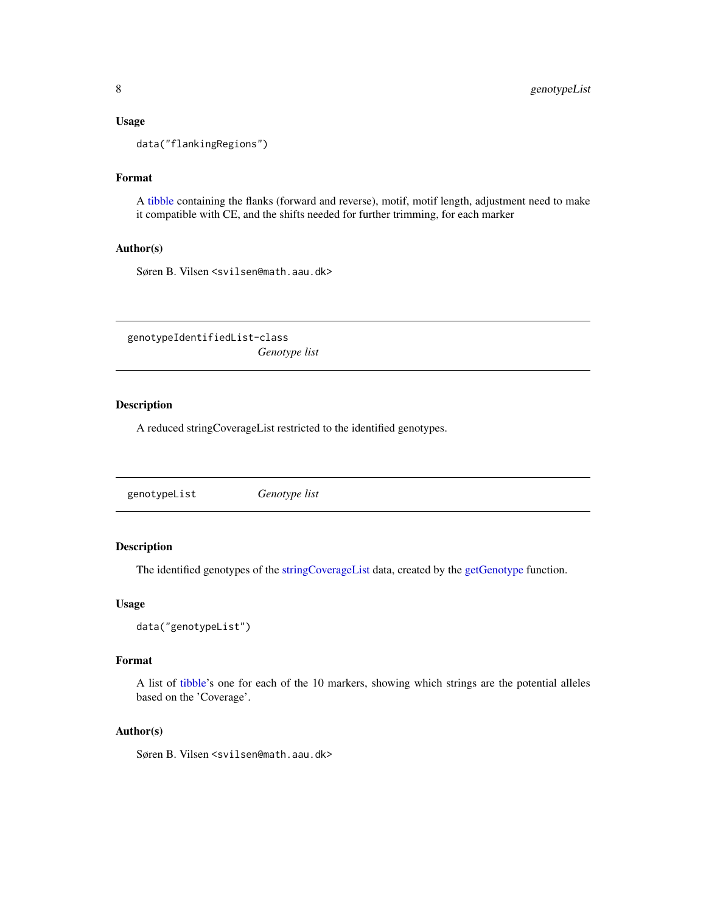#### <span id="page-7-0"></span>Usage

data("flankingRegions")

# Format

A [tibble](#page-0-0) containing the flanks (forward and reverse), motif, motif length, adjustment need to make it compatible with CE, and the shifts needed for further trimming, for each marker

#### Author(s)

Søren B. Vilsen <svilsen@math.aau.dk>

genotypeIdentifiedList-class *Genotype list*

# Description

A reduced stringCoverageList restricted to the identified genotypes.

<span id="page-7-1"></span>

| genotypeList | Genotype list |
|--------------|---------------|
|              |               |

# Description

The identified genotypes of the [stringCoverageList](#page-28-2) data, created by the [getGenotype](#page-8-1) function.

#### Usage

```
data("genotypeList")
```
#### Format

A list of [tibble'](#page-0-0)s one for each of the 10 markers, showing which strings are the potential alleles based on the 'Coverage'.

# Author(s)

Søren B. Vilsen <svilsen@math.aau.dk>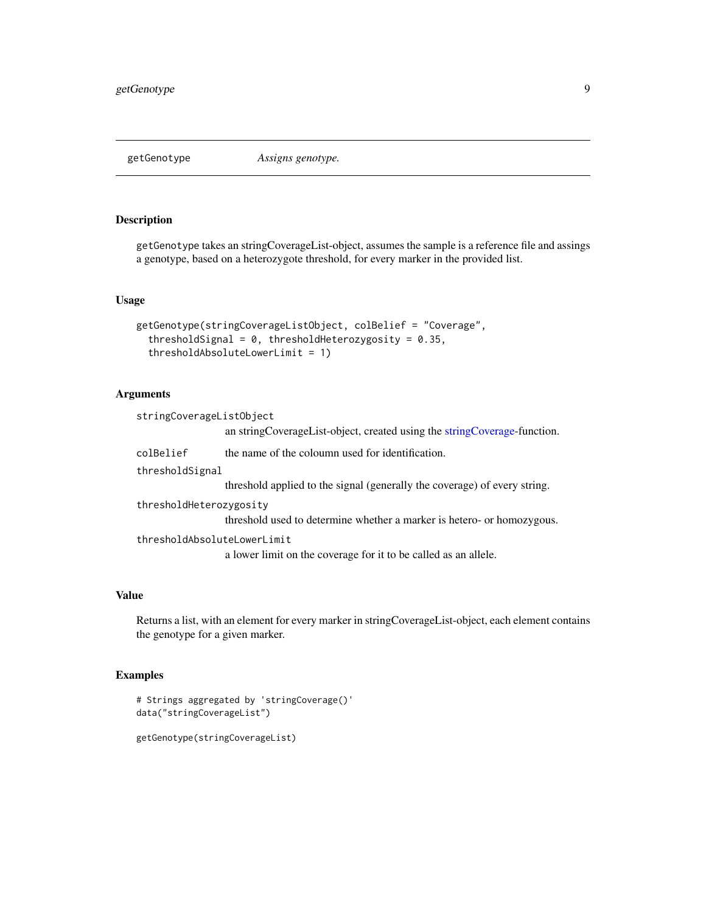<span id="page-8-1"></span><span id="page-8-0"></span>

# Description

getGenotype takes an stringCoverageList-object, assumes the sample is a reference file and assings a genotype, based on a heterozygote threshold, for every marker in the provided list.

# Usage

```
getGenotype(stringCoverageListObject, colBelief = "Coverage",
  thresholdSignal = 0, thresholdHeterozygosity = 0.35,
  thresholdAbsoluteLowerLimit = 1)
```
# Arguments

| stringCoverageListObject    |                                                                             |  |
|-----------------------------|-----------------------------------------------------------------------------|--|
|                             | an string Coverage List-object, created using the string Coverage-function. |  |
| colBelief                   | the name of the coloumn used for identification.                            |  |
| thresholdSignal             |                                                                             |  |
|                             | threshold applied to the signal (generally the coverage) of every string.   |  |
| thresholdHeterozygosity     |                                                                             |  |
|                             | threshold used to determine whether a marker is hetero- or homozygous.      |  |
| thresholdAbsoluteLowerLimit |                                                                             |  |
|                             | a lower limit on the coverage for it to be called as an allele.             |  |

## Value

Returns a list, with an element for every marker in stringCoverageList-object, each element contains the genotype for a given marker.

```
# Strings aggregated by 'stringCoverage()'
data("stringCoverageList")
```

```
getGenotype(stringCoverageList)
```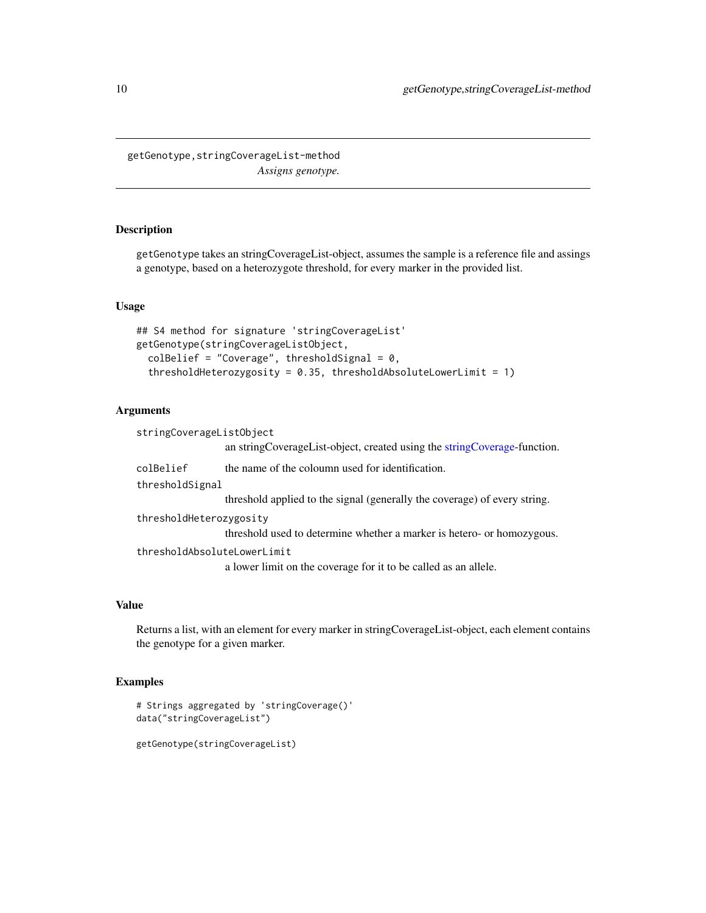<span id="page-9-0"></span>getGenotype,stringCoverageList-method *Assigns genotype.*

# Description

getGenotype takes an stringCoverageList-object, assumes the sample is a reference file and assings a genotype, based on a heterozygote threshold, for every marker in the provided list.

# Usage

```
## S4 method for signature 'stringCoverageList'
getGenotype(stringCoverageListObject,
  colBelief = "Coverage", thresholdSignal = 0,
  thresholdHeterozygosity = 0.35, thresholdAbsoluteLowerLimit = 1)
```
## Arguments

| stringCoverageListObject    | an string Coverage List-object, created using the string Coverage-function. |  |
|-----------------------------|-----------------------------------------------------------------------------|--|
| colBelief                   | the name of the coloumn used for identification.                            |  |
| thresholdSignal             |                                                                             |  |
|                             | threshold applied to the signal (generally the coverage) of every string.   |  |
| thresholdHeterozygosity     |                                                                             |  |
|                             | threshold used to determine whether a marker is hetero- or homozygous.      |  |
| thresholdAbsoluteLowerLimit |                                                                             |  |
|                             | a lower limit on the coverage for it to be called as an allele.             |  |

## Value

Returns a list, with an element for every marker in stringCoverageList-object, each element contains the genotype for a given marker.

```
# Strings aggregated by 'stringCoverage()'
data("stringCoverageList")
```

```
getGenotype(stringCoverageList)
```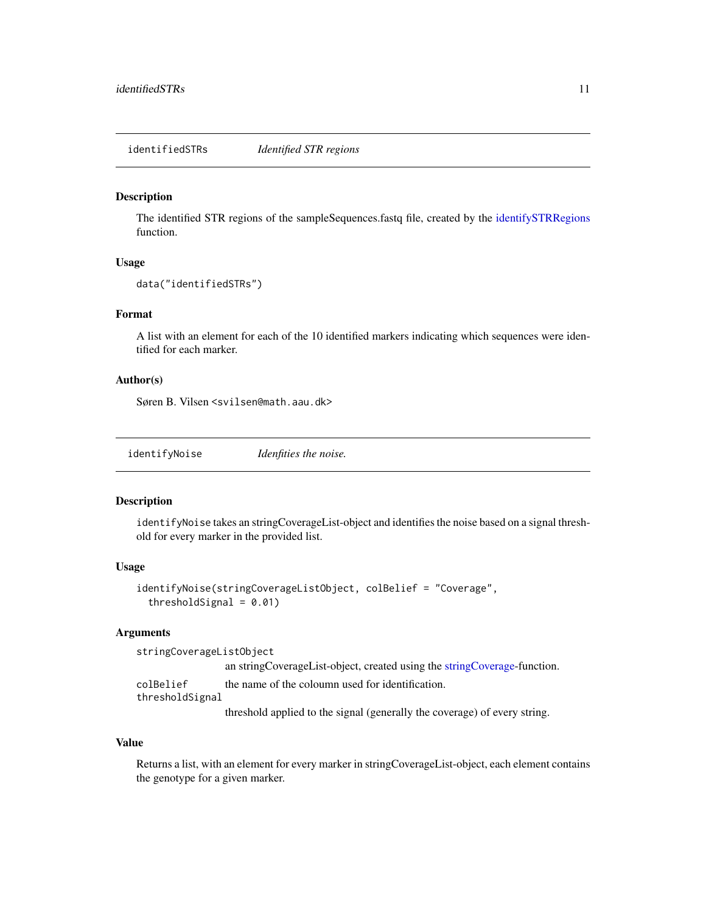<span id="page-10-2"></span><span id="page-10-0"></span>identifiedSTRs *Identified STR regions*

#### Description

The identified STR regions of the sampleSequences.fastq file, created by the [identifySTRRegions](#page-12-1) function.

#### Usage

```
data("identifiedSTRs")
```
## Format

A list with an element for each of the 10 identified markers indicating which sequences were identified for each marker.

## Author(s)

Søren B. Vilsen <svilsen@math.aau.dk>

<span id="page-10-1"></span>

| identifyNoise | Idenfities the noise. |  |
|---------------|-----------------------|--|
|               |                       |  |

# Description

identifyNoise takes an stringCoverageList-object and identifies the noise based on a signal threshold for every marker in the provided list.

## Usage

```
identifyNoise(stringCoverageListObject, colBelief = "Coverage",
  thresholdSignal = 0.01)
```
## Arguments

```
stringCoverageListObject
                  an stringCoverageList-object, created using the stringCoverage-function.
colBelief the name of the coloumn used for identification.
thresholdSignal
                  threshold applied to the signal (generally the coverage) of every string.
```
Value

Returns a list, with an element for every marker in stringCoverageList-object, each element contains the genotype for a given marker.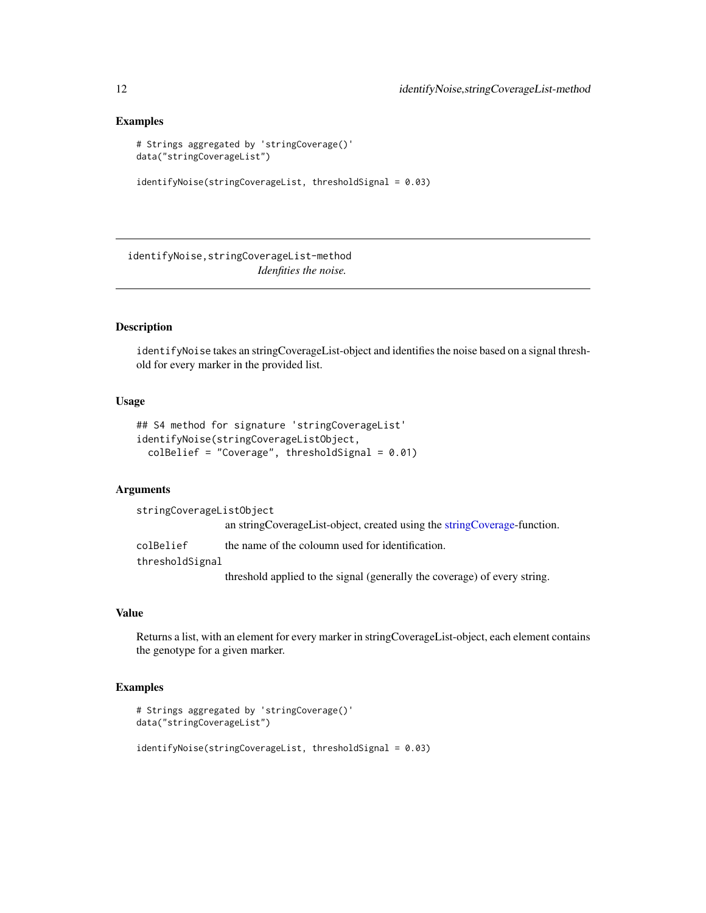#### Examples

```
# Strings aggregated by 'stringCoverage()'
data("stringCoverageList")
```

```
identifyNoise(stringCoverageList, thresholdSignal = 0.03)
```
identifyNoise,stringCoverageList-method *Idenfities the noise.*

# Description

identifyNoise takes an stringCoverageList-object and identifies the noise based on a signal threshold for every marker in the provided list.

#### Usage

```
## S4 method for signature 'stringCoverageList'
identifyNoise(stringCoverageListObject,
 colBelief = "Coverage", thresholdSignal = 0.01)
```
# Arguments

stringCoverageListObject an stringCoverageList-object, created using the [stringCoverage-](#page-22-1)function. colBelief the name of the coloumn used for identification. thresholdSignal

threshold applied to the signal (generally the coverage) of every string.

# Value

Returns a list, with an element for every marker in stringCoverageList-object, each element contains the genotype for a given marker.

```
# Strings aggregated by 'stringCoverage()'
data("stringCoverageList")
identifyNoise(stringCoverageList, thresholdSignal = 0.03)
```
<span id="page-11-0"></span>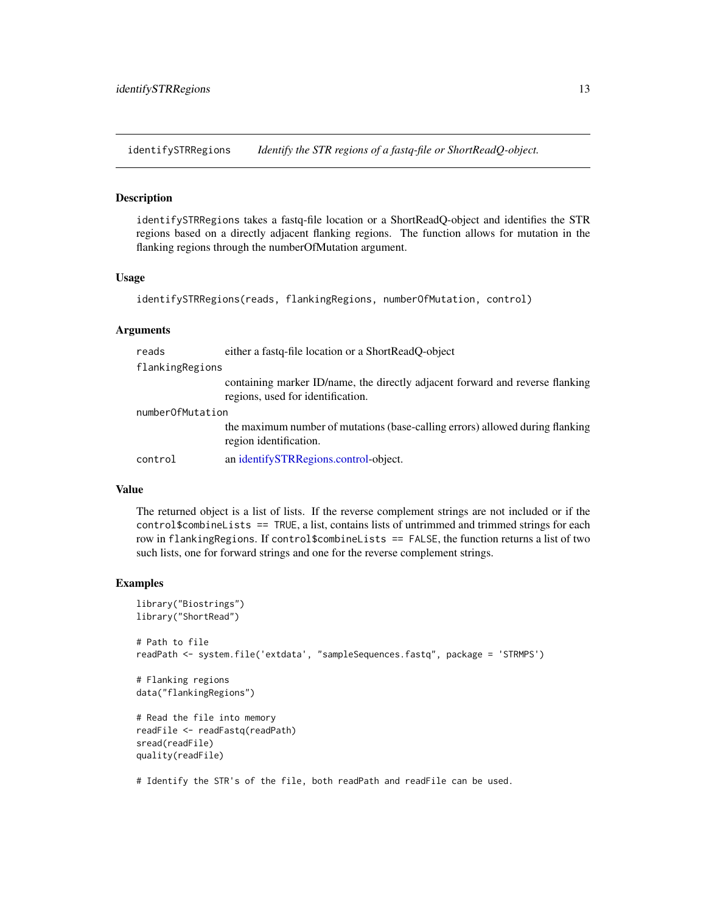<span id="page-12-1"></span><span id="page-12-0"></span>identifySTRRegions *Identify the STR regions of a fastq-file or ShortReadQ-object.*

#### Description

identifySTRRegions takes a fastq-file location or a ShortReadQ-object and identifies the STR regions based on a directly adjacent flanking regions. The function allows for mutation in the flanking regions through the numberOfMutation argument.

# Usage

```
identifySTRRegions(reads, flankingRegions, numberOfMutation, control)
```
#### Arguments

| reads            | either a fastq-file location or a ShortReadQ-object                                                                |  |
|------------------|--------------------------------------------------------------------------------------------------------------------|--|
| flankingRegions  |                                                                                                                    |  |
|                  | containing marker ID/name, the directly adjacent forward and reverse flanking<br>regions, used for identification. |  |
| numberOfMutation |                                                                                                                    |  |
|                  | the maximum number of mutations (base-calling errors) allowed during flanking<br>region identification.            |  |
| control          | an identifySTRRegions.control-object.                                                                              |  |

#### Value

The returned object is a list of lists. If the reverse complement strings are not included or if the control\$combineLists == TRUE, a list, contains lists of untrimmed and trimmed strings for each row in flankingRegions. If control\$combineLists == FALSE, the function returns a list of two such lists, one for forward strings and one for the reverse complement strings.

#### Examples

```
library("Biostrings")
library("ShortRead")
# Path to file
readPath <- system.file('extdata', "sampleSequences.fastq", package = 'STRMPS')
# Flanking regions
data("flankingRegions")
# Read the file into memory
readFile <- readFastq(readPath)
sread(readFile)
quality(readFile)
```
# Identify the STR's of the file, both readPath and readFile can be used.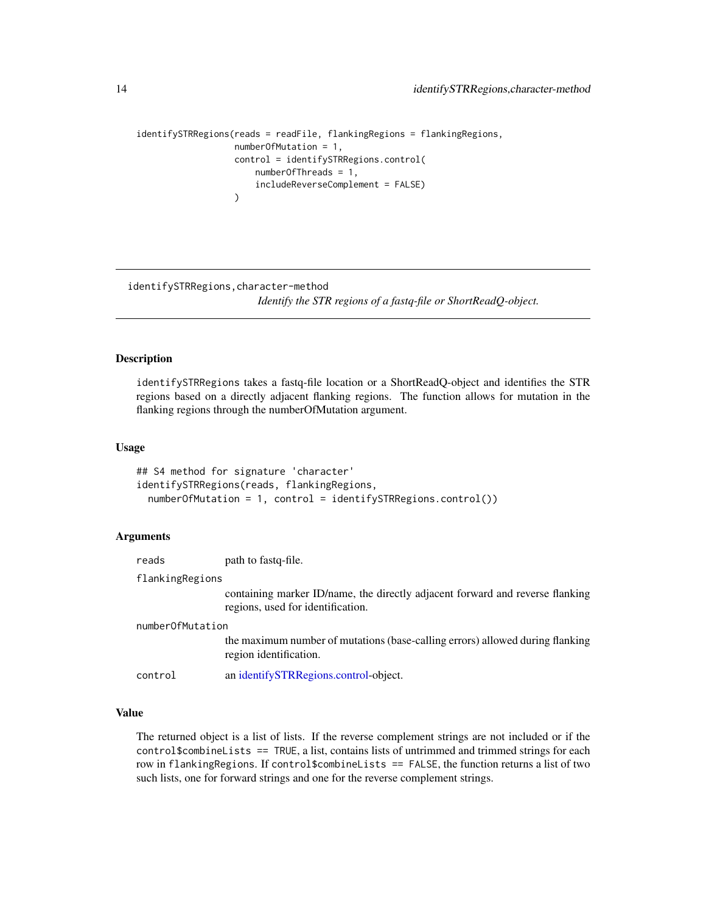```
identifySTRRegions(reads = readFile, flankingRegions = flankingRegions,
                  numberOfMutation = 1,
                   control = identifySTRRegions.control(
                      numberOfThreads = 1,
                       includeReverseComplement = FALSE)
                   )
```
identifySTRRegions,character-method

*Identify the STR regions of a fastq-file or ShortReadQ-object.*

## Description

identifySTRRegions takes a fastq-file location or a ShortReadQ-object and identifies the STR regions based on a directly adjacent flanking regions. The function allows for mutation in the flanking regions through the numberOfMutation argument.

## Usage

```
## S4 method for signature 'character'
identifySTRRegions(reads, flankingRegions,
 numberOfMutation = 1, control = identifySTRRegions.control())
```
## **Arguments**

|                  | reads   | path to fastg-file.                                                                                                |
|------------------|---------|--------------------------------------------------------------------------------------------------------------------|
| flankingRegions  |         |                                                                                                                    |
|                  |         | containing marker ID/name, the directly adjacent forward and reverse flanking<br>regions, used for identification. |
| numberOfMutation |         |                                                                                                                    |
|                  |         | the maximum number of mutations (base-calling errors) allowed during flanking<br>region identification.            |
|                  | control | an identifySTRRegions.control-object.                                                                              |
|                  |         |                                                                                                                    |

# Value

The returned object is a list of lists. If the reverse complement strings are not included or if the control\$combineLists == TRUE, a list, contains lists of untrimmed and trimmed strings for each row in flankingRegions. If control\$combineLists == FALSE, the function returns a list of two such lists, one for forward strings and one for the reverse complement strings.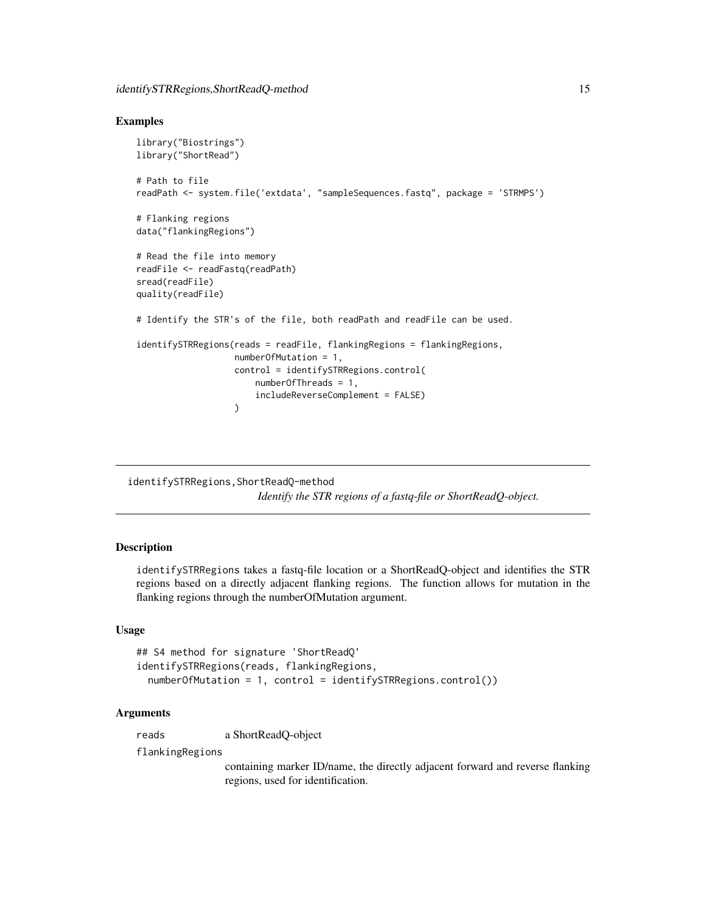#### <span id="page-14-0"></span>Examples

```
library("Biostrings")
library("ShortRead")
# Path to file
readPath <- system.file('extdata', "sampleSequences.fastq", package = 'STRMPS')
# Flanking regions
data("flankingRegions")
# Read the file into memory
readFile <- readFastq(readPath)
sread(readFile)
quality(readFile)
# Identify the STR's of the file, both readPath and readFile can be used.
identifySTRRegions(reads = readFile, flankingRegions = flankingRegions,
                   numberOfMutation = 1,
                   control = identifySTRRegions.control(
                       numberOfThreads = 1,
                       includeReverseComplement = FALSE)
                   )
```
identifySTRRegions,ShortReadQ-method *Identify the STR regions of a fastq-file or ShortReadQ-object.*

## Description

identifySTRRegions takes a fastq-file location or a ShortReadQ-object and identifies the STR regions based on a directly adjacent flanking regions. The function allows for mutation in the flanking regions through the numberOfMutation argument.

#### Usage

```
## S4 method for signature 'ShortReadQ'
identifySTRRegions(reads, flankingRegions,
  numberOfMutation = 1, control = identifySTRRegions.control())
```
# Arguments

reads a ShortReadQ-object

flankingRegions

containing marker ID/name, the directly adjacent forward and reverse flanking regions, used for identification.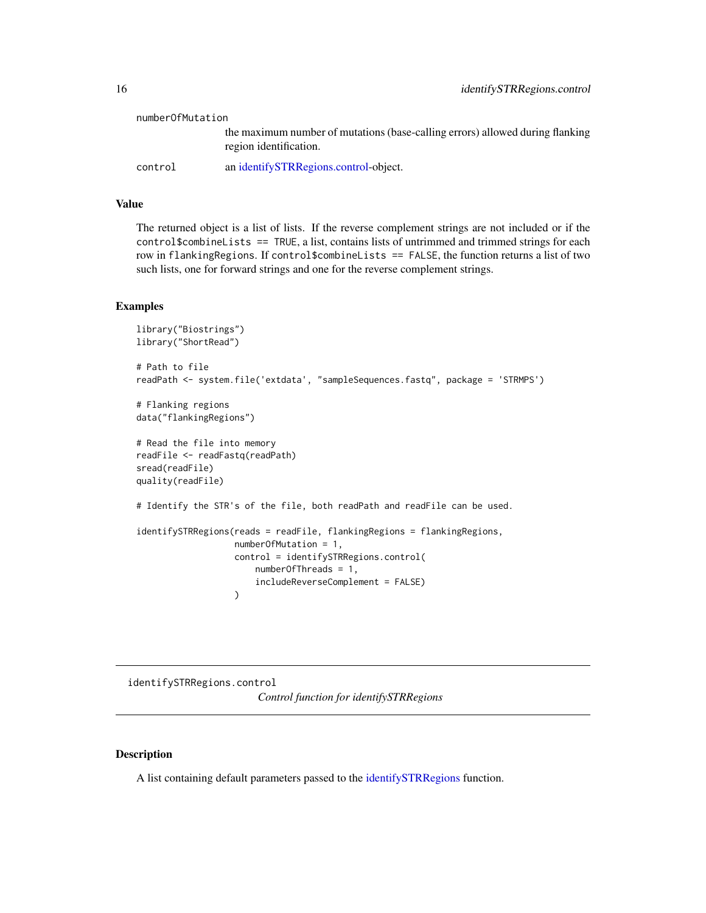<span id="page-15-0"></span>

| numberOfMutation |                                                                                                         |
|------------------|---------------------------------------------------------------------------------------------------------|
|                  | the maximum number of mutations (base-calling errors) allowed during flanking<br>region identification. |
| control          | an identifySTRRegions.control-object.                                                                   |

# Value

The returned object is a list of lists. If the reverse complement strings are not included or if the control\$combineLists == TRUE, a list, contains lists of untrimmed and trimmed strings for each row in flankingRegions. If control\$combineLists == FALSE, the function returns a list of two such lists, one for forward strings and one for the reverse complement strings.

# Examples

```
library("Biostrings")
library("ShortRead")
# Path to file
readPath <- system.file('extdata', "sampleSequences.fastq", package = 'STRMPS')
# Flanking regions
data("flankingRegions")
# Read the file into memory
readFile <- readFastq(readPath)
sread(readFile)
quality(readFile)
# Identify the STR's of the file, both readPath and readFile can be used.
identifySTRRegions(reads = readFile, flankingRegions = flankingRegions,
                  numberOfMutation = 1,
                   control = identifySTRRegions.control(
                       numberOfThreads = 1,
                       includeReverseComplement = FALSE)
                   )
```
<span id="page-15-1"></span>identifySTRRegions.control *Control function for identifySTRRegions*

# Description

A list containing default parameters passed to the [identifySTRRegions](#page-12-1) function.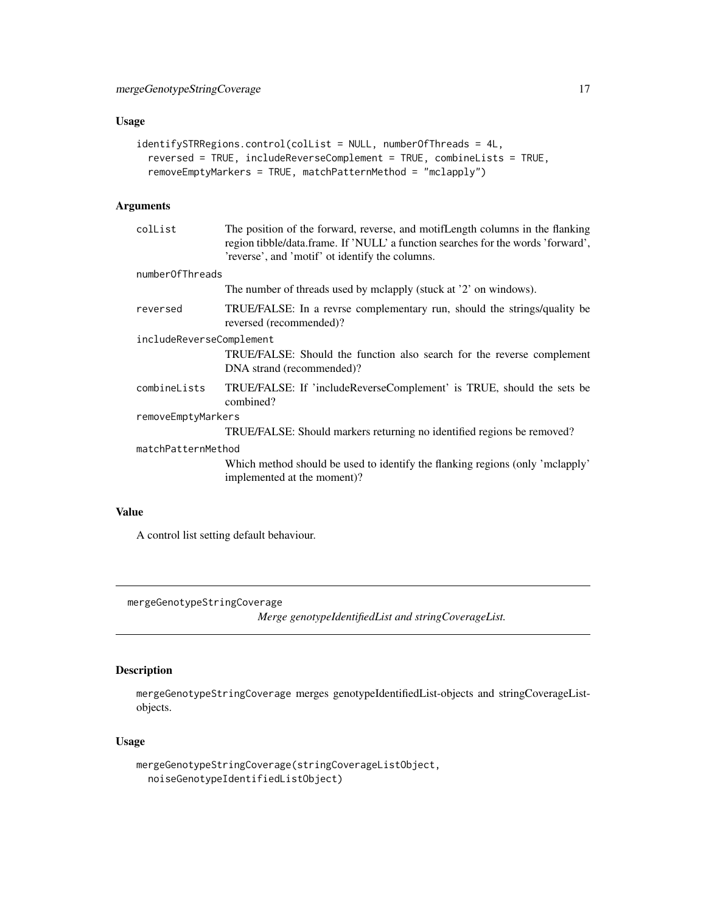# <span id="page-16-0"></span>Usage

```
identifySTRRegions.control(colList = NULL, numberOfThreads = 4L,
 reversed = TRUE, includeReverseComplement = TRUE, combineLists = TRUE,
 removeEmptyMarkers = TRUE, matchPatternMethod = "mclapply")
```
# Arguments

| The position of the forward, reverse, and motif Length columns in the flanking<br>region tibble/data.frame. If 'NULL' a function searches for the words 'forward',<br>'reverse', and 'motif' ot identify the columns. |  |
|-----------------------------------------------------------------------------------------------------------------------------------------------------------------------------------------------------------------------|--|
| numberOfThreads                                                                                                                                                                                                       |  |
| The number of threads used by mclapply (stuck at '2' on windows).                                                                                                                                                     |  |
| TRUE/FALSE: In a revrse complementary run, should the strings/quality be<br>reversed (recommended)?                                                                                                                   |  |
| includeReverseComplement                                                                                                                                                                                              |  |
| TRUE/FALSE: Should the function also search for the reverse complement<br>DNA strand (recommended)?                                                                                                                   |  |
| TRUE/FALSE: If 'includeReverseComplement' is TRUE, should the sets be<br>combined?                                                                                                                                    |  |
| removeEmptyMarkers                                                                                                                                                                                                    |  |
| TRUE/FALSE: Should markers returning no identified regions be removed?                                                                                                                                                |  |
| matchPatternMethod                                                                                                                                                                                                    |  |
| Which method should be used to identify the flanking regions (only 'mclapply'<br>implemented at the moment)?                                                                                                          |  |
|                                                                                                                                                                                                                       |  |

# Value

A control list setting default behaviour.

mergeGenotypeStringCoverage

*Merge genotypeIdentifiedList and stringCoverageList.*

# Description

mergeGenotypeStringCoverage merges genotypeIdentifiedList-objects and stringCoverageListobjects.

# Usage

```
mergeGenotypeStringCoverage(stringCoverageListObject,
 noiseGenotypeIdentifiedListObject)
```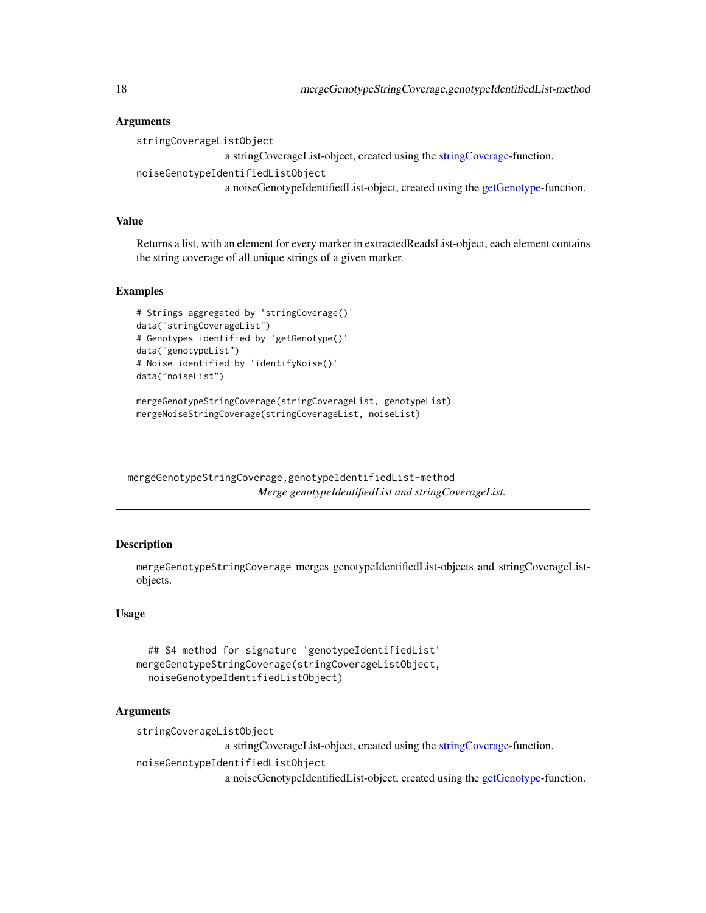# Arguments

stringCoverageListObject

```
a stringCoverageList-object, created using the stringCoverage-function.
```

```
noiseGenotypeIdentifiedListObject
```
a noiseGenotypeIdentifiedList-object, created using the [getGenotype-](#page-8-1)function.

# Value

Returns a list, with an element for every marker in extractedReadsList-object, each element contains the string coverage of all unique strings of a given marker.

## Examples

```
# Strings aggregated by 'stringCoverage()'
data("stringCoverageList")
# Genotypes identified by 'getGenotype()'
data("genotypeList")
# Noise identified by 'identifyNoise()'
data("noiseList")
```
mergeGenotypeStringCoverage(stringCoverageList, genotypeList) mergeNoiseStringCoverage(stringCoverageList, noiseList)

mergeGenotypeStringCoverage,genotypeIdentifiedList-method *Merge genotypeIdentifiedList and stringCoverageList.*

# **Description**

mergeGenotypeStringCoverage merges genotypeIdentifiedList-objects and stringCoverageListobjects.

# Usage

```
## S4 method for signature 'genotypeIdentifiedList'
mergeGenotypeStringCoverage(stringCoverageListObject,
  noiseGenotypeIdentifiedListObject)
```
## Arguments

stringCoverageListObject

a stringCoverageList-object, created using the [stringCoverage-](#page-22-1)function.

noiseGenotypeIdentifiedListObject

a noiseGenotypeIdentifiedList-object, created using the [getGenotype-](#page-8-1)function.

<span id="page-17-0"></span>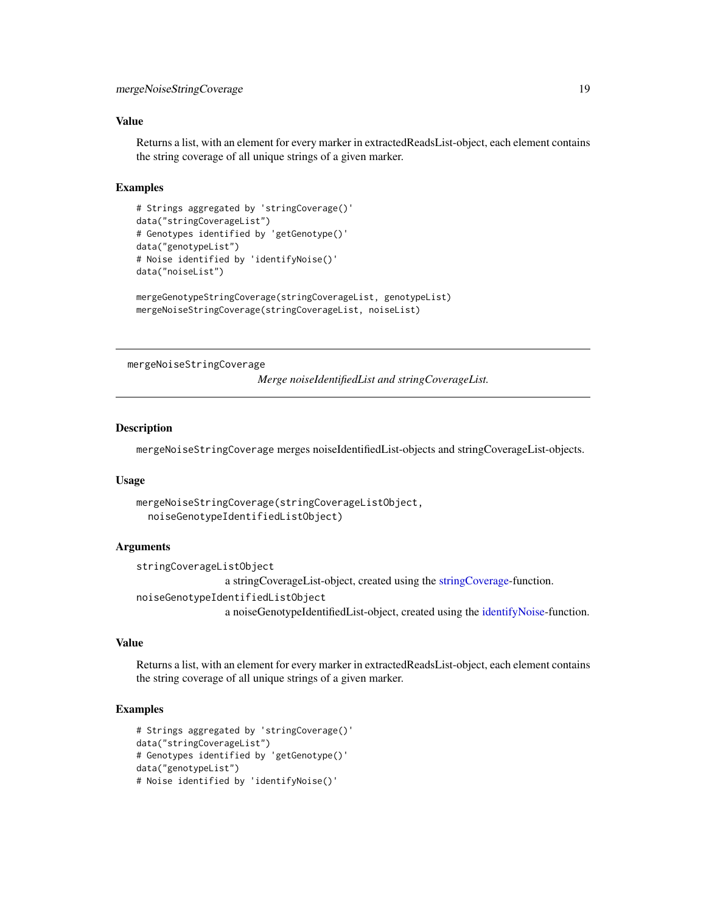## <span id="page-18-0"></span>Value

Returns a list, with an element for every marker in extractedReadsList-object, each element contains the string coverage of all unique strings of a given marker.

## Examples

```
# Strings aggregated by 'stringCoverage()'
data("stringCoverageList")
# Genotypes identified by 'getGenotype()'
data("genotypeList")
# Noise identified by 'identifyNoise()'
data("noiseList")
```

```
mergeGenotypeStringCoverage(stringCoverageList, genotypeList)
mergeNoiseStringCoverage(stringCoverageList, noiseList)
```
mergeNoiseStringCoverage

*Merge noiseIdentifiedList and stringCoverageList.*

#### Description

mergeNoiseStringCoverage merges noiseIdentifiedList-objects and stringCoverageList-objects.

#### Usage

```
mergeNoiseStringCoverage(stringCoverageListObject,
  noiseGenotypeIdentifiedListObject)
```
# Arguments

stringCoverageListObject a stringCoverageList-object, created using the [stringCoverage-](#page-22-1)function. noiseGenotypeIdentifiedListObject a noiseGenotypeIdentifiedList-object, created using the [identifyNoise-](#page-10-1)function.

## Value

Returns a list, with an element for every marker in extractedReadsList-object, each element contains the string coverage of all unique strings of a given marker.

```
# Strings aggregated by 'stringCoverage()'
data("stringCoverageList")
# Genotypes identified by 'getGenotype()'
data("genotypeList")
# Noise identified by 'identifyNoise()'
```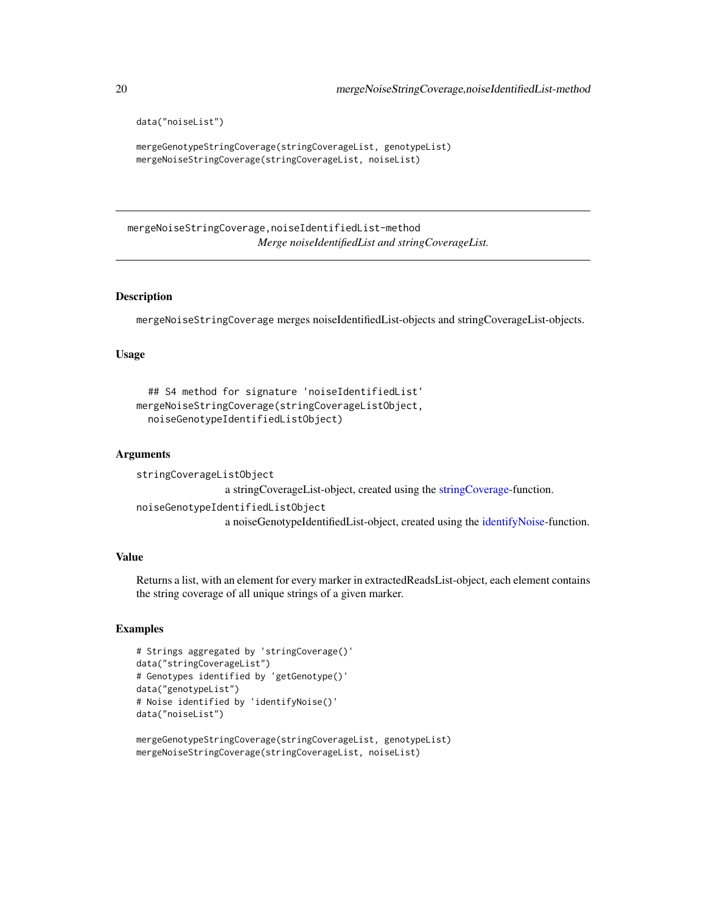```
data("noiseList")
```

```
mergeGenotypeStringCoverage(stringCoverageList, genotypeList)
mergeNoiseStringCoverage(stringCoverageList, noiseList)
```
mergeNoiseStringCoverage,noiseIdentifiedList-method *Merge noiseIdentifiedList and stringCoverageList.*

# **Description**

mergeNoiseStringCoverage merges noiseIdentifiedList-objects and stringCoverageList-objects.

## Usage

```
## S4 method for signature 'noiseIdentifiedList'
mergeNoiseStringCoverage(stringCoverageListObject,
  noiseGenotypeIdentifiedListObject)
```
## Arguments

```
stringCoverageListObject
                 a stringCoverageList-object, created using the stringCoverage-function.
noiseGenotypeIdentifiedListObject
```
a noiseGenotypeIdentifiedList-object, created using the [identifyNoise-](#page-10-1)function.

## Value

Returns a list, with an element for every marker in extractedReadsList-object, each element contains the string coverage of all unique strings of a given marker.

#### Examples

```
# Strings aggregated by 'stringCoverage()'
data("stringCoverageList")
# Genotypes identified by 'getGenotype()'
data("genotypeList")
# Noise identified by 'identifyNoise()'
data("noiseList")
```
mergeGenotypeStringCoverage(stringCoverageList, genotypeList) mergeNoiseStringCoverage(stringCoverageList, noiseList)

<span id="page-19-0"></span>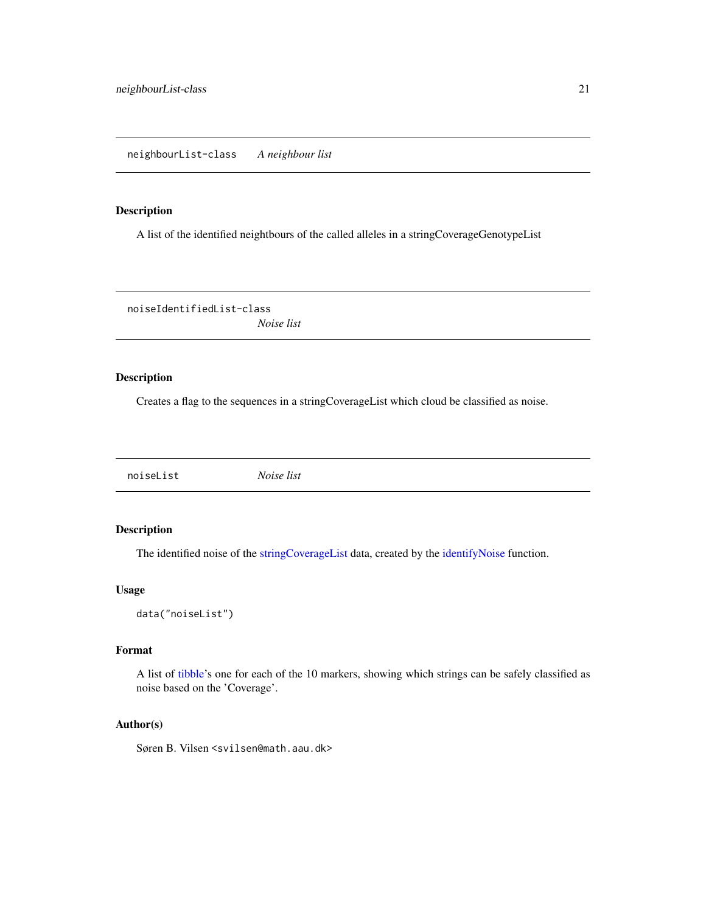# <span id="page-20-0"></span>Description

A list of the identified neightbours of the called alleles in a stringCoverageGenotypeList

noiseIdentifiedList-class *Noise list*

# Description

Creates a flag to the sequences in a stringCoverageList which cloud be classified as noise.

noiseList *Noise list*

# Description

The identified noise of the [stringCoverageList](#page-28-2) data, created by the [identifyNoise](#page-10-1) function.

# Usage

data("noiseList")

#### Format

A list of [tibble'](#page-0-0)s one for each of the 10 markers, showing which strings can be safely classified as noise based on the 'Coverage'.

# Author(s)

Søren B. Vilsen <svilsen@math.aau.dk>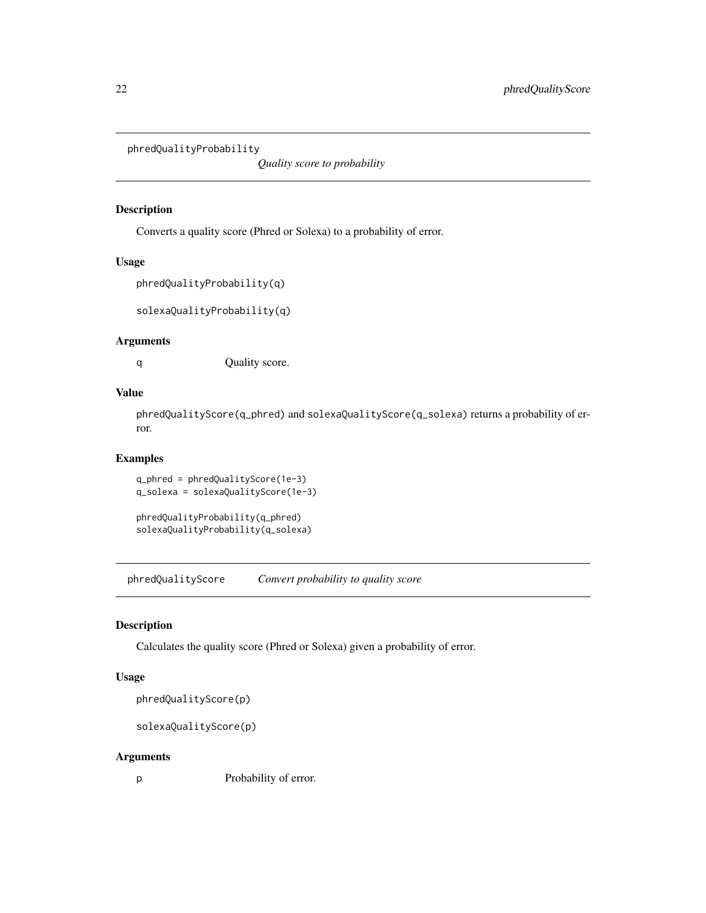<span id="page-21-0"></span>phredQualityProbability

*Quality score to probability*

# Description

Converts a quality score (Phred or Solexa) to a probability of error.

## Usage

```
phredQualityProbability(q)
```
solexaQualityProbability(q)

# Arguments

q Quality score.

# Value

phredQualityScore(q\_phred) and solexaQualityScore(q\_solexa) returns a probability of error.

## Examples

```
q_phred = phredQualityScore(1e-3)
q_solexa = solexaQualityScore(1e-3)
```
phredQualityProbability(q\_phred) solexaQualityProbability(q\_solexa)

phredQualityScore *Convert probability to quality score*

# Description

Calculates the quality score (Phred or Solexa) given a probability of error.

## Usage

phredQualityScore(p)

solexaQualityScore(p)

#### Arguments

p Probability of error.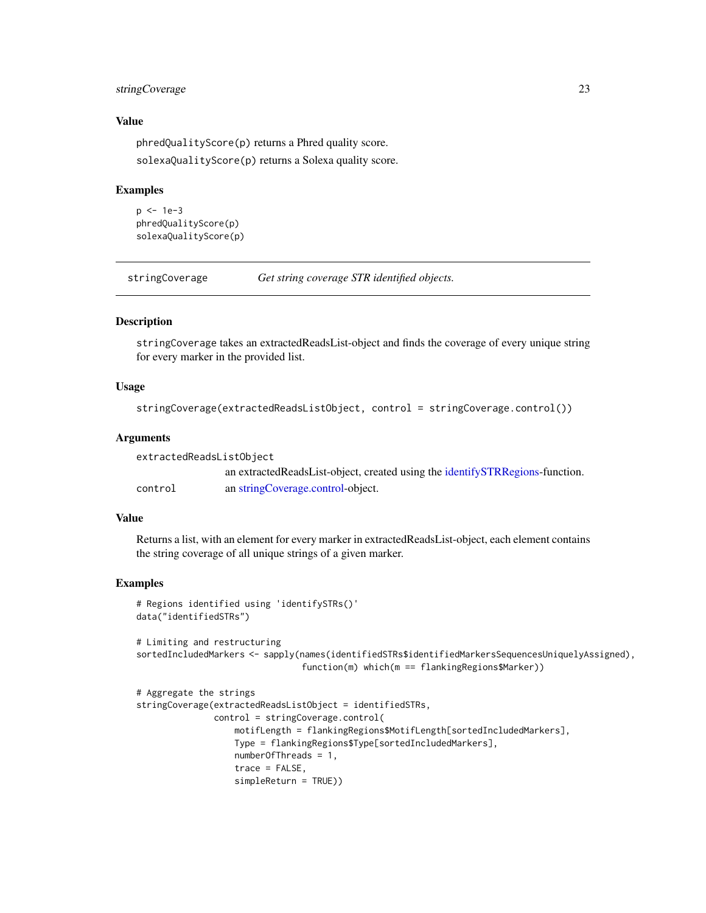# <span id="page-22-0"></span>stringCoverage 23

## Value

phredQualityScore(p) returns a Phred quality score. solexaQualityScore(p) returns a Solexa quality score.

# Examples

```
p <- 1e-3
phredQualityScore(p)
solexaQualityScore(p)
```
<span id="page-22-1"></span>stringCoverage *Get string coverage STR identified objects.*

## Description

stringCoverage takes an extractedReadsList-object and finds the coverage of every unique string for every marker in the provided list.

## Usage

```
stringCoverage(extractedReadsListObject, control = stringCoverage.control())
```
## Arguments

| extractedReadsListObiect |                                                                                  |
|--------------------------|----------------------------------------------------------------------------------|
|                          | an extracted Reads List-object, created using the identify STR Regions-function. |
| control                  | an string Coverage.control-object.                                               |

# Value

Returns a list, with an element for every marker in extractedReadsList-object, each element contains the string coverage of all unique strings of a given marker.

## Examples

```
# Regions identified using 'identifySTRs()'
data("identifiedSTRs")
```
# Limiting and restructuring sortedIncludedMarkers <- sapply(names(identifiedSTRs\$identifiedMarkersSequencesUniquelyAssigned), function(m) which(m == flankingRegions\$Marker))

```
# Aggregate the strings
stringCoverage(extractedReadsListObject = identifiedSTRs,
               control = stringCoverage.control(
                  motifLength = flankingRegions$MotifLength[sortedIncludedMarkers],
                  Type = flankingRegions$Type[sortedIncludedMarkers],
                  numberOfThreads = 1,
                  trace = FALSE,
                  simpleReturn = TRUE))
```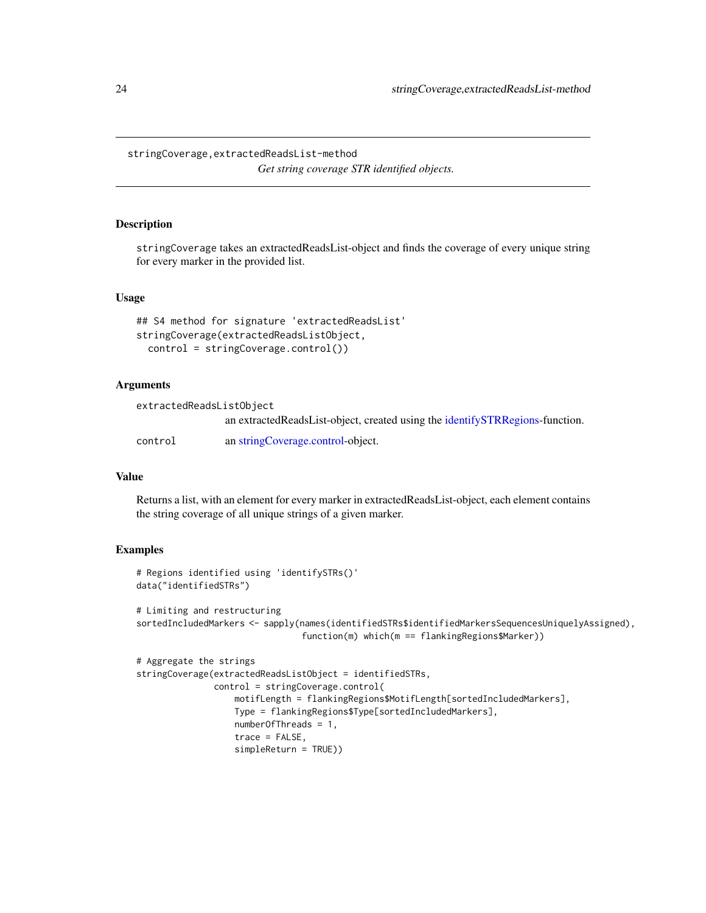<span id="page-23-0"></span>stringCoverage,extractedReadsList-method *Get string coverage STR identified objects.*

#### Description

stringCoverage takes an extractedReadsList-object and finds the coverage of every unique string for every marker in the provided list.

## Usage

```
## S4 method for signature 'extractedReadsList'
stringCoverage(extractedReadsListObject,
 control = stringCoverage.control())
```
## **Arguments**

| extractedReadsListObiect |                                                                                 |
|--------------------------|---------------------------------------------------------------------------------|
|                          | an extracted ReadsList-object, created using the identify STR Regions-function. |
| control                  | an string Coverage.control-object.                                              |

#### Value

Returns a list, with an element for every marker in extractedReadsList-object, each element contains the string coverage of all unique strings of a given marker.

```
# Regions identified using 'identifySTRs()'
data("identifiedSTRs")
# Limiting and restructuring
sortedIncludedMarkers <- sapply(names(identifiedSTRs$identifiedMarkersSequencesUniquelyAssigned),
                                function(m) which(m == flankingRegions$Marker))
# Aggregate the strings
stringCoverage(extractedReadsListObject = identifiedSTRs,
               control = stringCoverage.control(
                   motifLength = flankingRegions$MotifLength[sortedIncludedMarkers],
                   Type = flankingRegions$Type[sortedIncludedMarkers],
                   numberOfThreads = 1,
                   trace = FALSE,
                   simpleReturn = TRUE))
```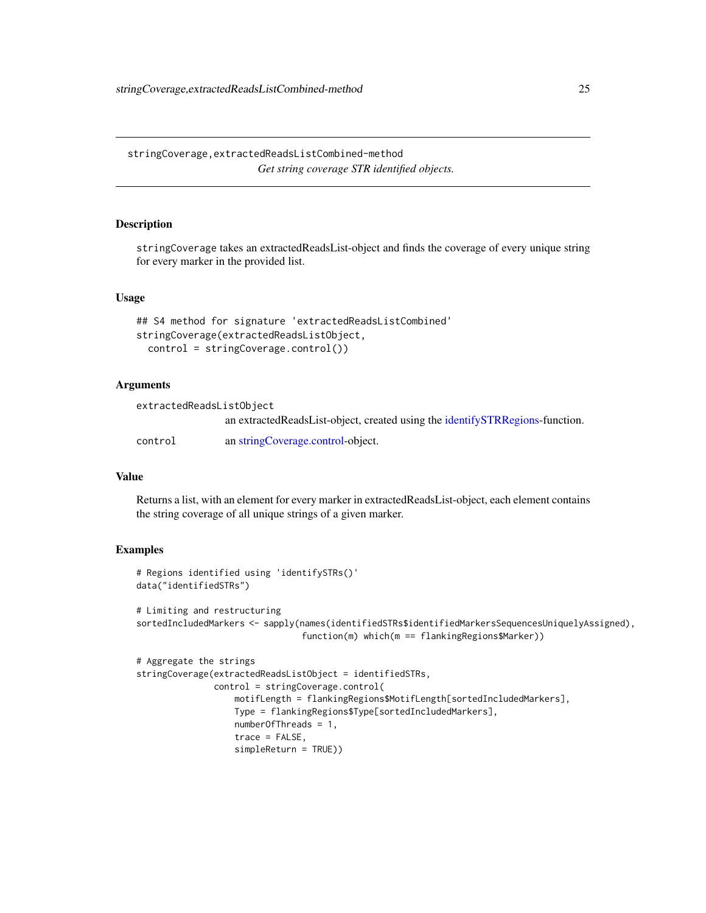<span id="page-24-0"></span>stringCoverage,extractedReadsListCombined-method *Get string coverage STR identified objects.*

#### Description

stringCoverage takes an extractedReadsList-object and finds the coverage of every unique string for every marker in the provided list.

#### Usage

```
## S4 method for signature 'extractedReadsListCombined'
stringCoverage(extractedReadsListObject,
 control = stringCoverage.control())
```
# **Arguments**

| extractedReadsListObject |                                                                                 |
|--------------------------|---------------------------------------------------------------------------------|
|                          | an extracted ReadsList-object, created using the identify STR Regions-function. |
| control                  | an string Coverage.control-object.                                              |

#### Value

Returns a list, with an element for every marker in extractedReadsList-object, each element contains the string coverage of all unique strings of a given marker.

```
# Regions identified using 'identifySTRs()'
data("identifiedSTRs")
# Limiting and restructuring
sortedIncludedMarkers <- sapply(names(identifiedSTRs$identifiedMarkersSequencesUniquelyAssigned),
                                function(m) which(m == flankingRegions$Marker))
# Aggregate the strings
stringCoverage(extractedReadsListObject = identifiedSTRs,
               control = stringCoverage.control(
                   motifLength = flankingRegions$MotifLength[sortedIncludedMarkers],
                   Type = flankingRegions$Type[sortedIncludedMarkers],
                   numberOfThreads = 1,
                   trace = FALSE,
                   simpleReturn = TRUE))
```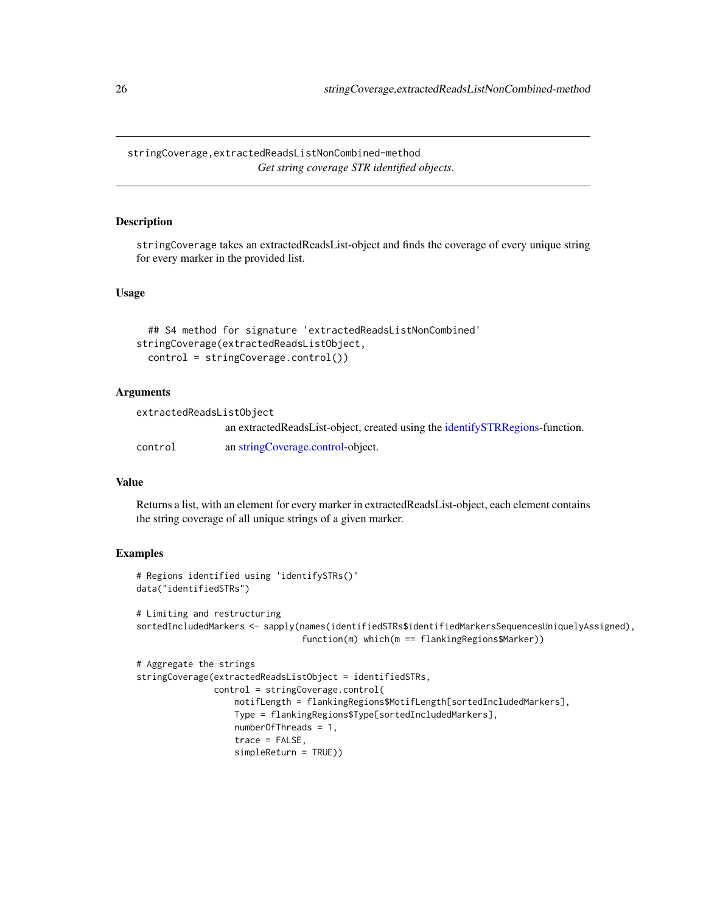<span id="page-25-0"></span>stringCoverage,extractedReadsListNonCombined-method *Get string coverage STR identified objects.*

## Description

stringCoverage takes an extractedReadsList-object and finds the coverage of every unique string for every marker in the provided list.

# Usage

```
## S4 method for signature 'extractedReadsListNonCombined'
stringCoverage(extractedReadsListObject,
 control = stringCoverage.control())
```
## Arguments

| extractedReadsListObject |                                                                              |
|--------------------------|------------------------------------------------------------------------------|
|                          | an extractedReadsList-object, created using the identifySTRRegions-function. |
| control                  | an string Coverage.control-object.                                           |

# Value

Returns a list, with an element for every marker in extractedReadsList-object, each element contains the string coverage of all unique strings of a given marker.

```
# Regions identified using 'identifySTRs()'
data("identifiedSTRs")
# Limiting and restructuring
sortedIncludedMarkers <- sapply(names(identifiedSTRs$identifiedMarkersSequencesUniquelyAssigned),
                                function(m) which(m == flankingRegions$Marker))
# Aggregate the strings
stringCoverage(extractedReadsListObject = identifiedSTRs,
               control = stringCoverage.control(
                   motifLength = flankingRegions$MotifLength[sortedIncludedMarkers],
                   Type = flankingRegions$Type[sortedIncludedMarkers],
                   numberOfThreads = 1,
                   trace = FALSE,
                   simpleReturn = TRUE))
```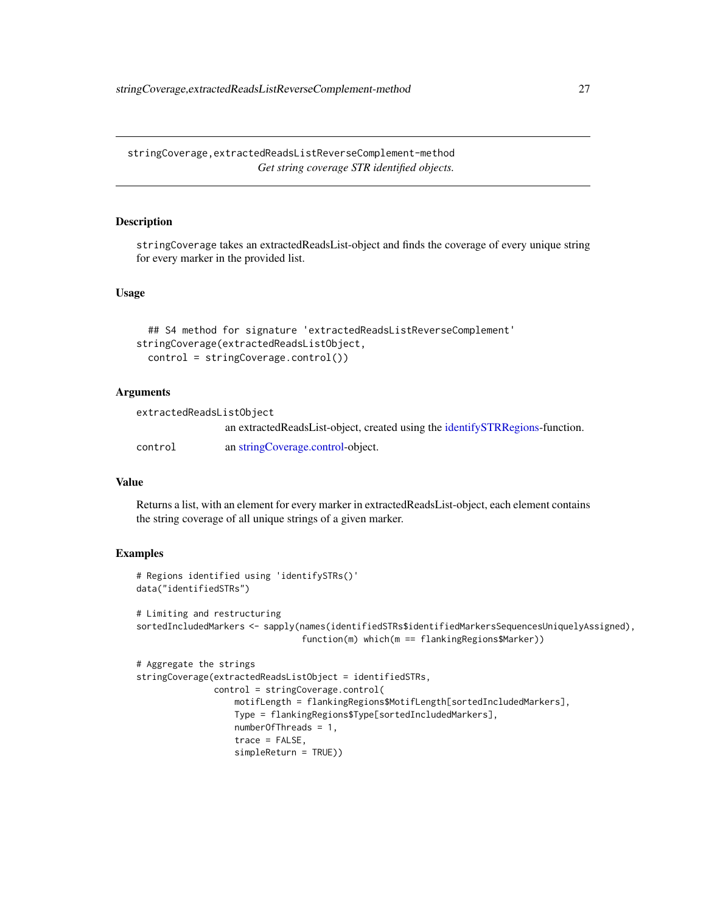<span id="page-26-0"></span>stringCoverage,extractedReadsListReverseComplement-method *Get string coverage STR identified objects.*

## Description

stringCoverage takes an extractedReadsList-object and finds the coverage of every unique string for every marker in the provided list.

# Usage

```
## S4 method for signature 'extractedReadsListReverseComplement'
stringCoverage(extractedReadsListObject,
 control = stringCoverage.control())
```
## Arguments

| extractedReadsListObject |                                                                              |
|--------------------------|------------------------------------------------------------------------------|
|                          | an extractedReadsList-object, created using the identifySTRRegions-function. |
| control                  | an string Coverage.control-object.                                           |

# Value

Returns a list, with an element for every marker in extractedReadsList-object, each element contains the string coverage of all unique strings of a given marker.

```
# Regions identified using 'identifySTRs()'
data("identifiedSTRs")
# Limiting and restructuring
sortedIncludedMarkers <- sapply(names(identifiedSTRs$identifiedMarkersSequencesUniquelyAssigned),
                                function(m) which(m == flankingRegions$Marker))
# Aggregate the strings
stringCoverage(extractedReadsListObject = identifiedSTRs,
               control = stringCoverage.control(
                   motifLength = flankingRegions$MotifLength[sortedIncludedMarkers],
                   Type = flankingRegions$Type[sortedIncludedMarkers],
                   numberOfThreads = 1,
                   trace = FALSE,
                   simpleReturn = TRUE))
```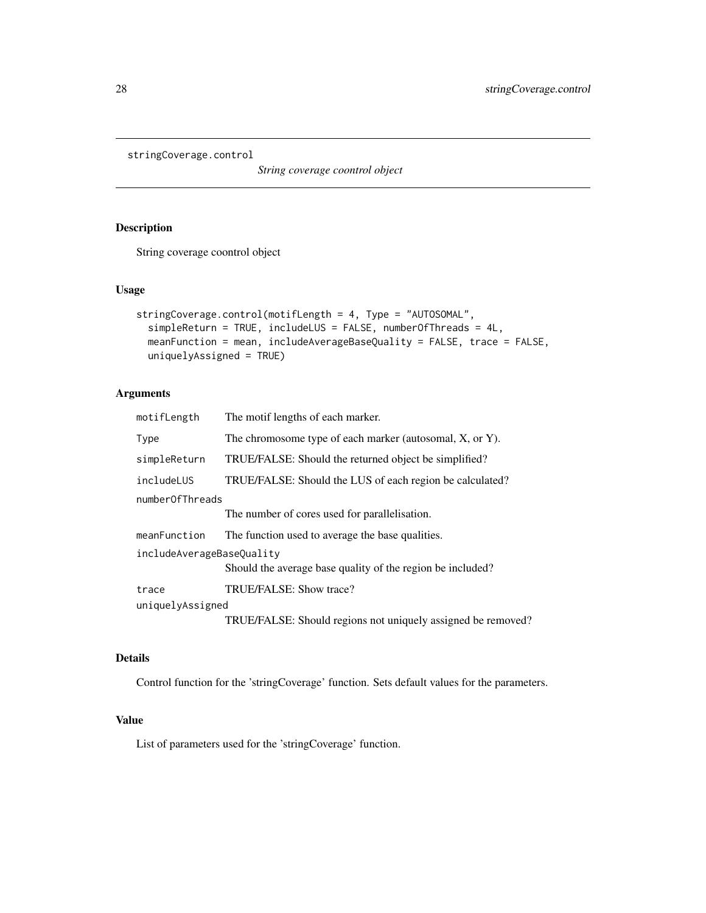```
stringCoverage.control
```
*String coverage coontrol object*

# Description

String coverage coontrol object

# Usage

```
stringCoverage.control(motifLength = 4, Type = "AUTOSOMAL",
 simpleReturn = TRUE, includeLUS = FALSE, numberOfThreads = 4L,
 meanFunction = mean, includeAverageBaseQuality = FALSE, trace = FALSE,
 uniquelyAssigned = TRUE)
```
# Arguments

| motifLength               | The motif lengths of each marker.                            |
|---------------------------|--------------------------------------------------------------|
| Type                      | The chromosome type of each marker (autosomal, X, or Y).     |
| simpleReturn              | TRUE/FALSE: Should the returned object be simplified?        |
| includeLUS                | TRUE/FALSE: Should the LUS of each region be calculated?     |
| numberOfThreads           |                                                              |
|                           | The number of cores used for parallelisation.                |
| meanFunction              | The function used to average the base qualities.             |
| includeAverageBaseQuality |                                                              |
|                           | Should the average base quality of the region be included?   |
| trace                     | TRUE/FALSE: Show trace?                                      |
| uniquelyAssigned          |                                                              |
|                           | TRUE/FALSE: Should regions not uniquely assigned be removed? |

#### Details

Control function for the 'stringCoverage' function. Sets default values for the parameters.

# Value

List of parameters used for the 'stringCoverage' function.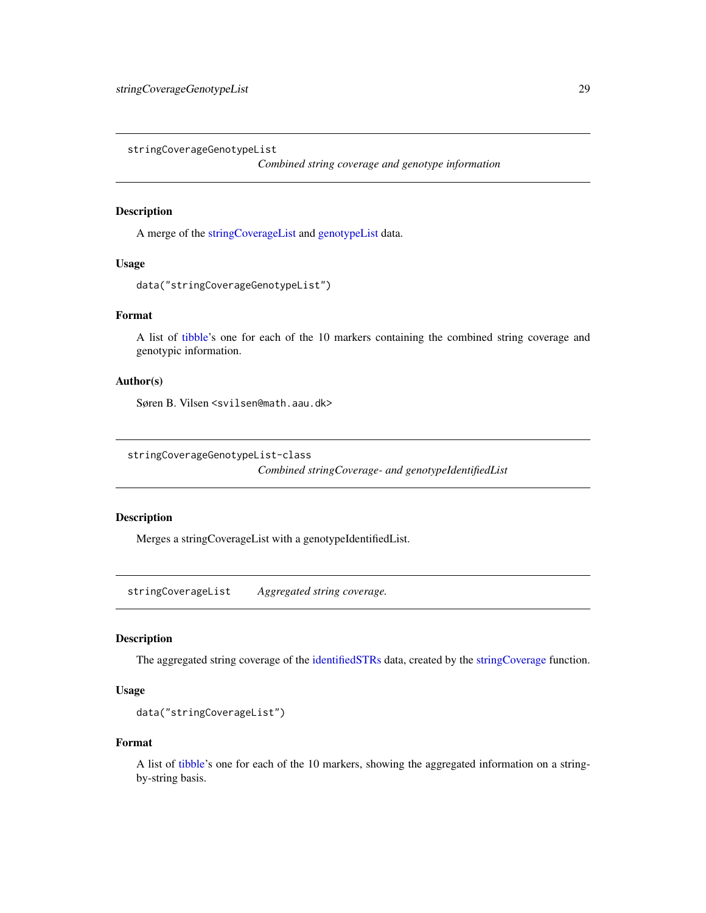<span id="page-28-0"></span>stringCoverageGenotypeList

*Combined string coverage and genotype information*

# Description

A merge of the [stringCoverageList](#page-28-2) and [genotypeList](#page-7-1) data.

# Usage

```
data("stringCoverageGenotypeList")
```
## Format

A list of [tibble'](#page-0-0)s one for each of the 10 markers containing the combined string coverage and genotypic information.

# Author(s)

Søren B. Vilsen <svilsen@math.aau.dk>

<span id="page-28-1"></span>stringCoverageGenotypeList-class

*Combined stringCoverage- and genotypeIdentifiedList*

#### Description

Merges a stringCoverageList with a genotypeIdentifiedList.

<span id="page-28-2"></span>stringCoverageList *Aggregated string coverage.*

#### Description

The aggregated string coverage of the [identifiedSTRs](#page-10-2) data, created by the [stringCoverage](#page-22-1) function.

# Usage

```
data("stringCoverageList")
```
## Format

A list of [tibble'](#page-0-0)s one for each of the 10 markers, showing the aggregated information on a stringby-string basis.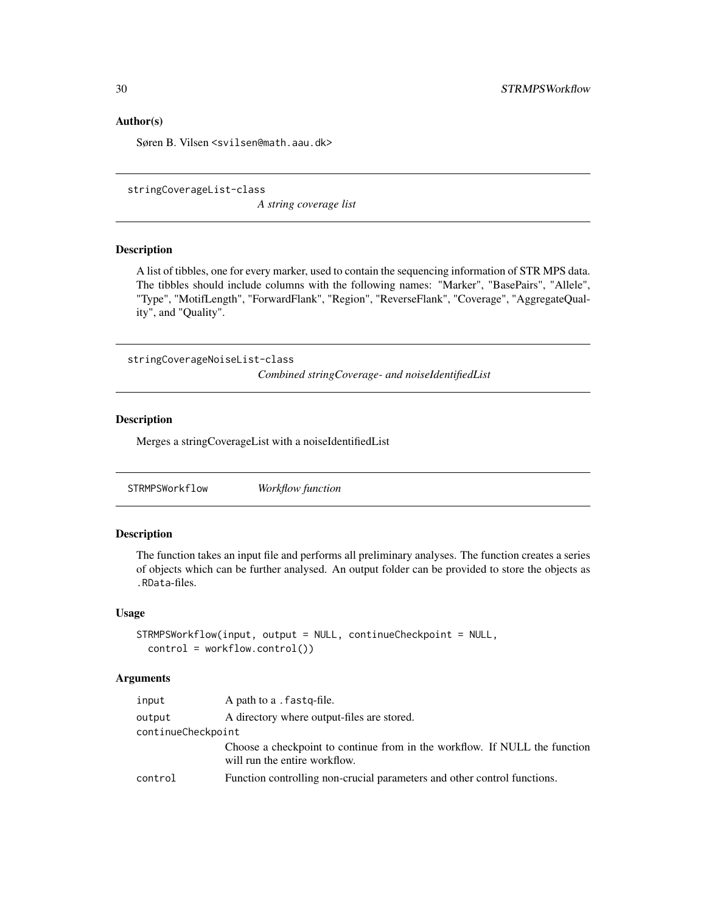# <span id="page-29-0"></span>Author(s)

Søren B. Vilsen <svilsen@math.aau.dk>

```
stringCoverageList-class
```
*A string coverage list*

# Description

A list of tibbles, one for every marker, used to contain the sequencing information of STR MPS data. The tibbles should include columns with the following names: "Marker", "BasePairs", "Allele", "Type", "MotifLength", "ForwardFlank", "Region", "ReverseFlank", "Coverage", "AggregateQuality", and "Quality".

stringCoverageNoiseList-class *Combined stringCoverage- and noiseIdentifiedList*

# Description

Merges a stringCoverageList with a noiseIdentifiedList

<span id="page-29-1"></span>STRMPSWorkflow *Workflow function*

#### Description

The function takes an input file and performs all preliminary analyses. The function creates a series of objects which can be further analysed. An output folder can be provided to store the objects as .RData-files.

## Usage

```
STRMPSWorkflow(input, output = NULL, continueCheckpoint = NULL,
 control = workflow.contrib()
```
# Arguments

| input              | A path to a . fastq-file.                                                                                   |
|--------------------|-------------------------------------------------------------------------------------------------------------|
| output             | A directory where output-files are stored.                                                                  |
| continueCheckpoint |                                                                                                             |
|                    | Choose a checkpoint to continue from in the workflow. If NULL the function<br>will run the entire workflow. |
| control            | Function controlling non-crucial parameters and other control functions.                                    |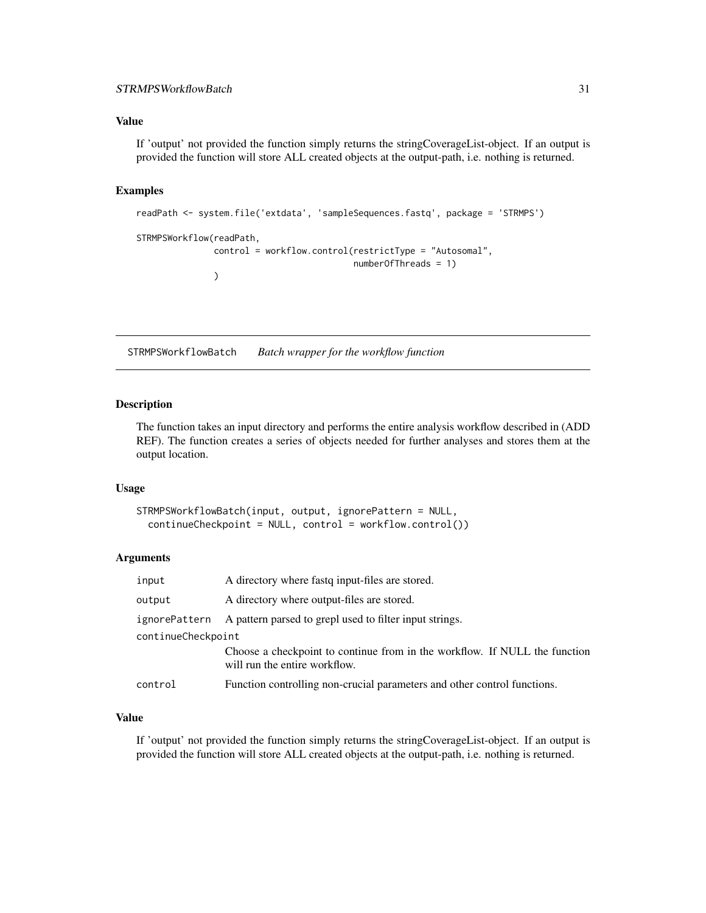## <span id="page-30-0"></span>Value

If 'output' not provided the function simply returns the stringCoverageList-object. If an output is provided the function will store ALL created objects at the output-path, i.e. nothing is returned.

#### Examples

```
readPath <- system.file('extdata', 'sampleSequences.fastq', package = 'STRMPS')
STRMPSWorkflow(readPath,
               control = workflow.control(restrictType = "Autosomal",
                                          numberOfThreads = 1)
               )
```
STRMPSWorkflowBatch *Batch wrapper for the workflow function*

#### Description

The function takes an input directory and performs the entire analysis workflow described in (ADD REF). The function creates a series of objects needed for further analyses and stores them at the output location.

#### Usage

```
STRMPSWorkflowBatch(input, output, ignorePattern = NULL,
  continueCheckpoint = NULL, control = workflow.control())
```
# Arguments

| input              | A directory where fast input-files are stored.                                                              |
|--------------------|-------------------------------------------------------------------------------------------------------------|
| output             | A directory where output-files are stored.                                                                  |
| ignorePattern      | A pattern parsed to grepl used to filter input strings.                                                     |
| continueCheckpoint |                                                                                                             |
|                    | Choose a checkpoint to continue from in the workflow. If NULL the function<br>will run the entire workflow. |
| control            | Function controlling non-crucial parameters and other control functions.                                    |

#### Value

If 'output' not provided the function simply returns the stringCoverageList-object. If an output is provided the function will store ALL created objects at the output-path, i.e. nothing is returned.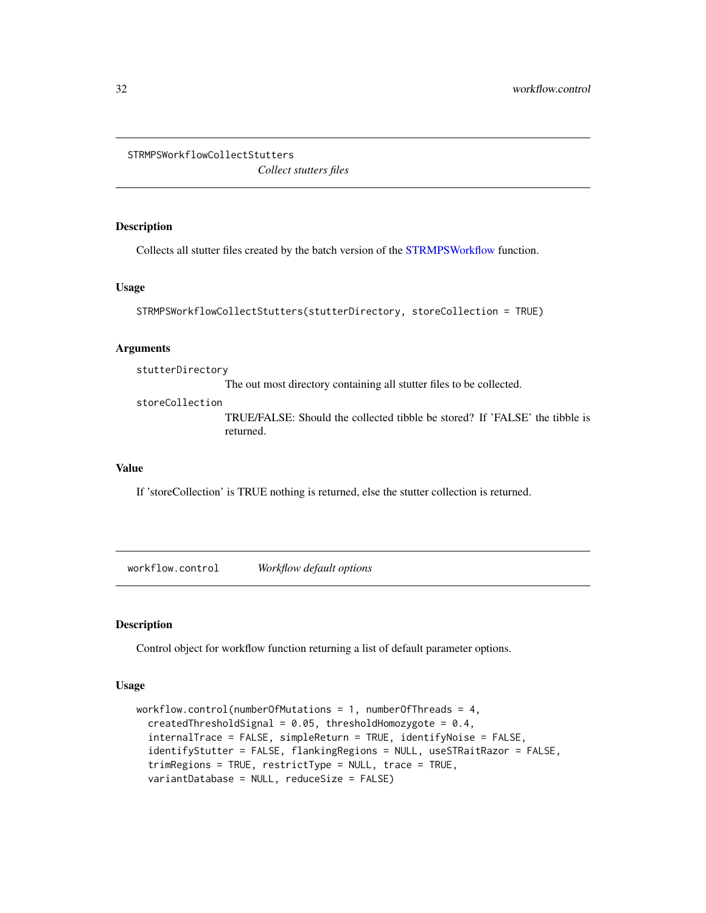<span id="page-31-0"></span>STRMPSWorkflowCollectStutters

*Collect stutters files*

# Description

Collects all stutter files created by the batch version of the [STRMPSWorkflow](#page-29-1) function.

#### Usage

```
STRMPSWorkflowCollectStutters(stutterDirectory, storeCollection = TRUE)
```
# Arguments

stutterDirectory

The out most directory containing all stutter files to be collected.

storeCollection

TRUE/FALSE: Should the collected tibble be stored? If 'FALSE' the tibble is returned.

## Value

If 'storeCollection' is TRUE nothing is returned, else the stutter collection is returned.

workflow.control *Workflow default options*

## Description

Control object for workflow function returning a list of default parameter options.

# Usage

```
workflow.control(numberOfMutations = 1, numberOfThreads = 4,
  createdThresholdSignal = 0.05, thresholdHomozygote = 0.4,
  internalTrace = FALSE, simpleReturn = TRUE, identifyNoise = FALSE,
  identifyStutter = FALSE, flankingRegions = NULL, useSTRaitRazor = FALSE,
  trimRegions = TRUE, restrictType = NULL, trace = TRUE,
  variantDatabase = NULL, reduceSize = FALSE)
```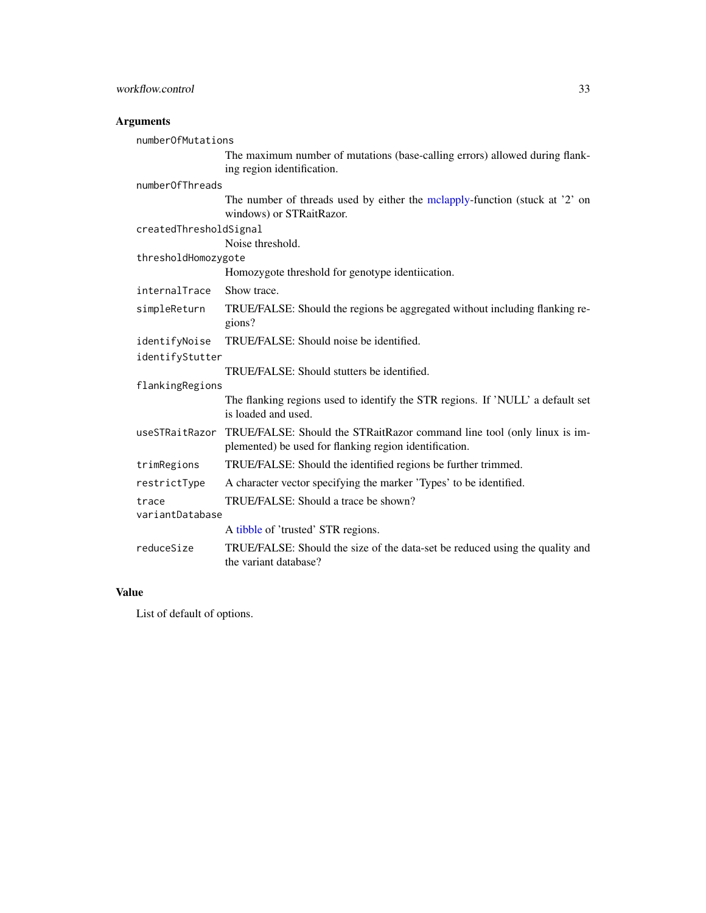## <span id="page-32-0"></span>**Arguments**

numberOfMutations The maximum number of mutations (base-calling errors) allowed during flanking region identification. numberOfThreads The number of threads used by either the [mclapply-](#page-0-0)function (stuck at '2' on windows) or STRaitRazor. createdThresholdSignal Noise threshold. thresholdHomozygote Homozygote threshold for genotype identiication. internalTrace Show trace. simpleReturn TRUE/FALSE: Should the regions be aggregated without including flanking regions? identifyNoise TRUE/FALSE: Should noise be identified. identifyStutter TRUE/FALSE: Should stutters be identified. flankingRegions The flanking regions used to identify the STR regions. If 'NULL' a default set is loaded and used. useSTRaitRazor TRUE/FALSE: Should the STRaitRazor command line tool (only linux is implemented) be used for flanking region identification. trimRegions TRUE/FALSE: Should the identified regions be further trimmed. restrictType A character vector specifying the marker 'Types' to be identified. trace TRUE/FALSE: Should a trace be shown? variantDatabase A [tibble](#page-0-0) of 'trusted' STR regions. reduceSize TRUE/FALSE: Should the size of the data-set be reduced using the quality and the variant database?

#### Value

List of default of options.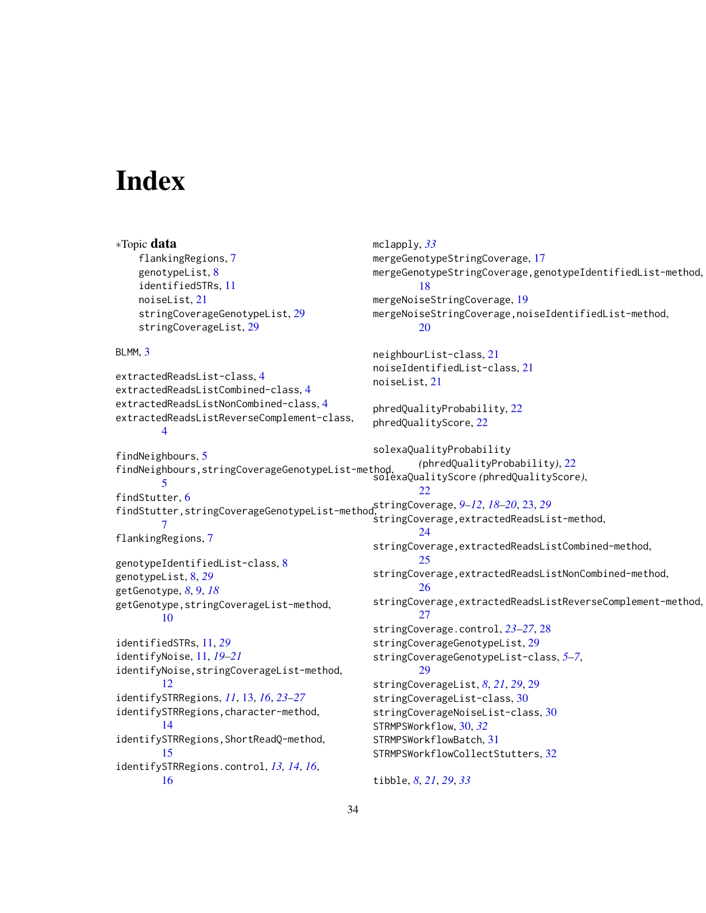# <span id="page-33-0"></span>Index

```
∗Topic data
    flankingRegions, 7
    genotypeList, 8
    identifiedSTRs, 11
    noiseList, 21
    stringCoverageGenotypeList, 29
    stringCoverageList, 29
BLMM, 3
extractedReadsList-class, 4
extractedReadsListCombined-class, 4
extractedReadsListNonCombined-class, 4
extractedReadsListReverseComplement-class,
        4
findNeighbours, 5
findNeighbours,stringCoverageGenotypeList-method,
        5
6
findStutter,stringCoverageGenotypeList-method,
stringCoverage, 9–12, 18–20, 23, 29
        7
flankingRegions, 7
genotypeIdentifiedList-class, 8
genotypeList, 8, 29
getGenotype, 8, 9, 18
getGenotype,stringCoverageList-method,
        10
identifiedSTRs, 11, 29
identifyNoise, 11, 19–21
identifyNoise,stringCoverageList-method,
        12
identifySTRRegions, 11, 13, 16, 23–27
identifySTRRegions,character-method,
        14
identifySTRRegions,ShortReadQ-method,
        15
identifySTRRegions.control, 13, 14, 16,
        16
                                               mclapply, 33
                                               mergeGenotypeStringCoverage, 17
                                               mergeGenotypeStringCoverage,genotypeIdentifiedList-method,
                                                        18
                                               mergeNoiseStringCoverage, 19
                                               mergeNoiseStringCoverage,noiseIdentifiedList-method,
                                                        20
                                               neighbourList-class, 21
                                               noiseIdentifiedList-class, 21
                                               noiseList, 21
                                               phredQualityProbability, 22
                                               phredQualityScore, 22
                                               solexaQualityProbability
                                                        (phredQualityProbability), 22
                                               solexaQualityScore (phredQualityScore),
                                                        22
                                               stringCoverage,extractedReadsList-method,
                                                        24
                                               stringCoverage,extractedReadsListCombined-method,
                                                        25
                                               stringCoverage,extractedReadsListNonCombined-method,
                                                        26
                                               stringCoverage,extractedReadsListReverseComplement-method,
                                                        27
                                               stringCoverage.control, 23–27, 28
                                               stringCoverageGenotypeList, 29
                                               stringCoverageGenotypeList-class, 5–7,
                                                        29
                                               stringCoverageList, 8, 21, 29, 29
                                               stringCoverageList-class, 30
                                               stringCoverageNoiseList-class, 30
                                               STRMPSWorkflow, 30, 32
                                               STRMPSWorkflowBatch, 31
                                               STRMPSWorkflowCollectStutters, 32
                                               tibble, 8, 21, 29, 33
```